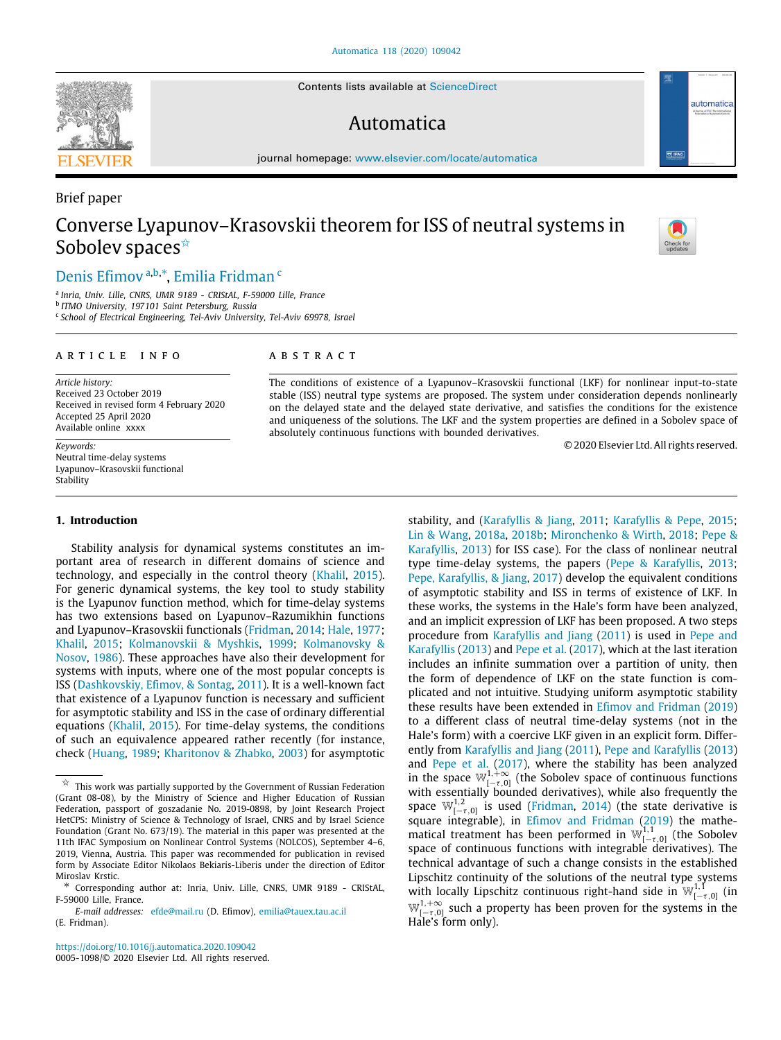Contents lists available at [ScienceDirect](http://www.elsevier.com/locate/automatica)

# Automatica

journal homepage: [www.elsevier.com/locate/automatica](http://www.elsevier.com/locate/automatica)

# Converse Lyapunov–Krasovskii theorem for ISS of neutral systems in Sobolev spaces<sup>☆</sup>

# [Denis](#page-7-0) [Efimov](#page-7-0) <sup>[a](#page-0-1),[b](#page-0-2),[∗](#page-0-3)</sup>, [Emilia](#page-7-1) [Fridman](#page-7-1) <sup>[c](#page-0-4)</sup>

<span id="page-0-1"></span>a *Inria, Univ. Lille, CNRS, UMR 9189 - CRIStAL, F-59000 Lille, France*

<span id="page-0-2"></span>b *ITMO University, 197101 Saint Petersburg, Russia*

<span id="page-0-4"></span>c *School of Electrical Engineering, Tel-Aviv University, Tel-Aviv 69978, Israel*

#### ARTICLE INFO

*Article history:* Received 23 October 2019 Received in revised form 4 February 2020 Accepted 25 April 2020 Available online xxxx

*Keywords:* Neutral time-delay systems Lyapunov–Krasovskii functional Stability

#### **1. Introduction**

Stability analysis for dynamical systems constitutes an important area of research in different domains of science and technology, and especially in the control theory [\(Khalil,](#page-7-2) [2015\)](#page-7-2). For generic dynamical systems, the key tool to study stability is the Lyapunov function method, which for time-delay systems has two extensions based on Lyapunov–Razumikhin functions and Lyapunov–Krasovskii functionals ([Fridman,](#page-6-0) [2014](#page-6-0); [Hale](#page-6-1), [1977;](#page-6-1) [Khalil,](#page-7-2) [2015;](#page-7-2) [Kolmanovskii & Myshkis,](#page-7-3) [1999;](#page-7-3) [Kolmanovsky &](#page-7-4) [Nosov](#page-7-4), [1986](#page-7-4)). These approaches have also their development for systems with inputs, where one of the most popular concepts is ISS [\(Dashkovskiy, Efimov, & Sontag,](#page-6-2) [2011](#page-6-2)). It is a well-known fact that existence of a Lyapunov function is necessary and sufficient for asymptotic stability and ISS in the case of ordinary differential equations [\(Khalil](#page-7-2), [2015\)](#page-7-2). For time-delay systems, the conditions of such an equivalence appeared rather recently (for instance, check [\(Huang](#page-6-3), [1989](#page-6-3); [Kharitonov & Zhabko](#page-7-5), [2003](#page-7-5)) for asymptotic

*E-mail addresses:* [efde@mail.ru](mailto:efde@mail.ru) (D. Efimov), [emilia@tauex.tau.ac.il](mailto:emilia@tauex.tau.ac.il) (E. Fridman).

<https://doi.org/10.1016/j.automatica.2020.109042> 0005-1098/© 2020 Elsevier Ltd. All rights reserved.

### a b s t r a c t

The conditions of existence of a Lyapunov–Krasovskii functional (LKF) for nonlinear input-to-state stable (ISS) neutral type systems are proposed. The system under consideration depends nonlinearly on the delayed state and the delayed state derivative, and satisfies the conditions for the existence and uniqueness of the solutions. The LKF and the system properties are defined in a Sobolev space of absolutely continuous functions with bounded derivatives.

© 2020 Elsevier Ltd. All rights reserved.

stability, and ([Karafyllis & Jiang,](#page-6-4) [2011](#page-6-4); [Karafyllis & Pepe,](#page-7-6) [2015;](#page-7-6) [Lin & Wang](#page-7-7), [2018a,](#page-7-7) [2018b](#page-7-8); [Mironchenko & Wirth,](#page-7-9) [2018;](#page-7-9) [Pepe &](#page-7-10) [Karafyllis](#page-7-10), [2013\)](#page-7-10) for ISS case). For the class of nonlinear neutral type time-delay systems, the papers ([Pepe & Karafyllis](#page-7-10), [2013;](#page-7-10) [Pepe, Karafyllis, & Jiang](#page-7-11), [2017\)](#page-7-11) develop the equivalent conditions of asymptotic stability and ISS in terms of existence of LKF. In these works, the systems in the Hale's form have been analyzed, and an implicit expression of LKF has been proposed. A two steps procedure from [Karafyllis and Jiang](#page-6-4) ([2011\)](#page-6-4) is used in [Pepe and](#page-7-10) [Karafyllis](#page-7-10) ([2013\)](#page-7-10) and [Pepe et al.](#page-7-11) ([2017\)](#page-7-11), which at the last iteration includes an infinite summation over a partition of unity, then the form of dependence of LKF on the state function is complicated and not intuitive. Studying uniform asymptotic stability these results have been extended in [Efimov and Fridman](#page-6-5) [\(2019\)](#page-6-5) to a different class of neutral time-delay systems (not in the Hale's form) with a coercive LKF given in an explicit form. Differently from [Karafyllis and Jiang](#page-6-4) [\(2011\)](#page-6-4), [Pepe and Karafyllis](#page-7-10) [\(2013\)](#page-7-10) and [Pepe et al.](#page-7-11) [\(2017](#page-7-11)), where the stability has been analyzed in the space  $\mathbb{W}_{[-\tau,0]}^{1,+\infty}$  (the Sobolev space of continuous functions with essentially bounded derivatives), while also frequently the space  $\mathbb{W}_{[-\tau,0]}^{1,2}$  is used [\(Fridman,](#page-6-0) [2014](#page-6-0)) (the state derivative is square integrable), in [Efimov and Fridman](#page-6-5) [\(2019](#page-6-5)) the mathematical treatment has been performed in  $\mathbb{W}_{[-\tau,0]}^{1,1}$  (the Sobolev space of continuous functions with integrable derivatives). The technical advantage of such a change consists in the established Lipschitz continuity of the solutions of the neutral type systems with locally Lipschitz continuous right-hand side in  $\mathbb{W}_{[-\tau,0]}^{1,1}$  (in  $\mathbb{W}_{[-\tau,0]}^{1,+\infty}$  such a property has been proven for the systems in the Hale's form only).



Brief paper



automatic

<span id="page-0-0"></span> $\overrightarrow{x}$  This work was partially supported by the Government of Russian Federation (Grant 08-08), by the Ministry of Science and Higher Education of Russian Federation, passport of goszadanie No. 2019-0898, by Joint Research Project HetCPS: Ministry of Science & Technology of Israel, CNRS and by Israel Science Foundation (Grant No. 673/19). The material in this paper was presented at the 11th IFAC Symposium on Nonlinear Control Systems (NOLCOS), September 4–6, 2019, Vienna, Austria. This paper was recommended for publication in revised form by Associate Editor Nikolaos Bekiaris-Liberis under the direction of Editor Miroslav Krstic.

<span id="page-0-3"></span>Corresponding author at: Inria, Univ. Lille, CNRS, UMR 9189 - CRIStAL, F-59000 Lille, France.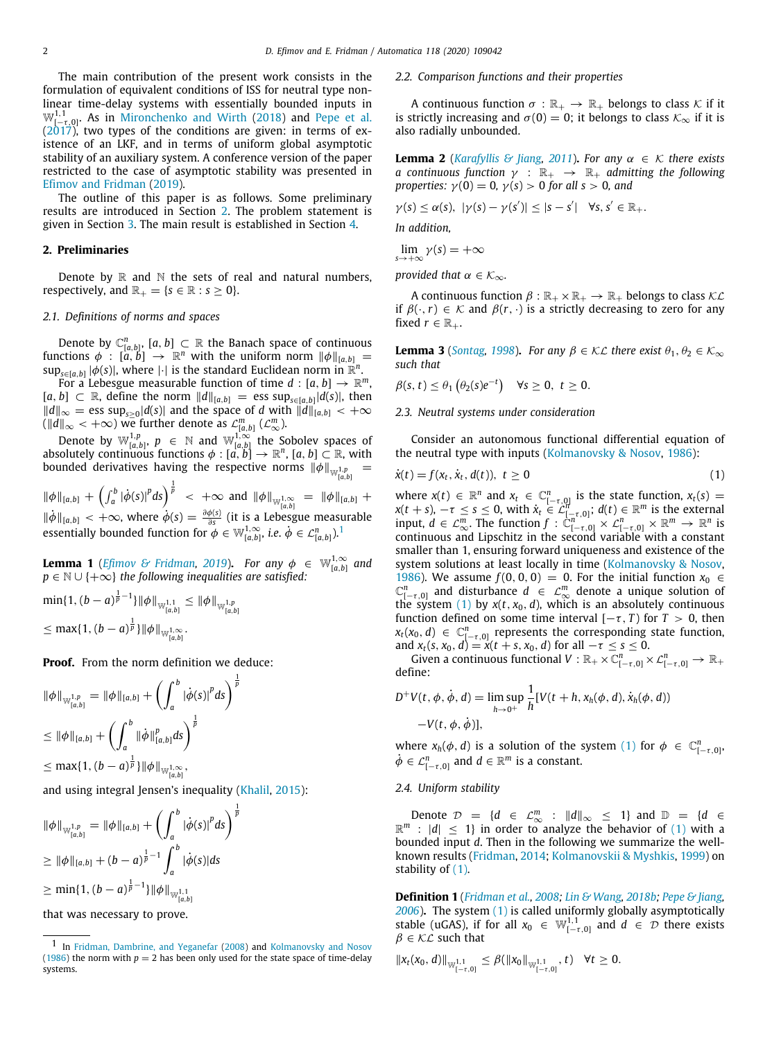The main contribution of the present work consists in the formulation of equivalent conditions of ISS for neutral type nonlinear time-delay systems with essentially bounded inputs in  $\mathbb{W}_{[-\tau,0]}^{1,1}$ . As in [Mironchenko and Wirth](#page-7-9) ([2018\)](#page-7-9) and [Pepe et al.](#page-7-11) ([2017\)](#page-7-11), two types of the conditions are given: in terms of existence of an LKF, and in terms of uniform global asymptotic stability of an auxiliary system. A conference version of the paper restricted to the case of asymptotic stability was presented in [Efimov and Fridman](#page-6-5) [\(2019](#page-6-5)).

The outline of this paper is as follows. Some preliminary results are introduced in Section [2.](#page-1-0) The problem statement is given in Section [3](#page-2-0). The main result is established in Section [4](#page-3-0).

#### **2. Preliminaries**

<span id="page-1-0"></span>Denote by  $\mathbb R$  and  $\mathbb N$  the sets of real and natural numbers, respectively, and  $\mathbb{R}_+ = \{s \in \mathbb{R} : s > 0\}.$ 

# *2.1. Definitions of norms and spaces*

Denote by  $\mathbb{C}^n_{[a,b]}$ ,  $[a,b] \subset \mathbb{R}$  the Banach space of continuous functions  $\phi$  :  $[a, b] \rightarrow \mathbb{R}^n$  with the uniform norm  $\|\phi\|_{[a, b]} =$  $\sup_{s\in [a,b]} |\phi(s)|$ , where  $|\cdot|$  is the standard Euclidean norm in  $\mathbb{R}^n$ .

For a Lebesgue measurable function of time  $d : [a, b] \rightarrow \mathbb{R}^m$ , [ $a, b$ ] ⊂ R, define the norm  $||d||_{[a,b]}$  = ess sup<sub>s∈[ $a, b$ ]</sub>  $|d(s)|$ , then  $||d||_{\infty}$  = ess sup<sub>*s*≥0</sub>|d(*s*)| and the space of *d* with  $||d||_{[a,b]}$  < +∞ ( $\|d\|_{\infty}$  < +∞) we further denote as  $\mathcal{L}_{[a,b]}^{m}$  ( $\mathcal{L}_{\infty}^{m}$ ).

Denote by  $\mathbb{W}_{[a,b]}^{1,p}$ ,  $p \in \mathbb{N}$  and  $\mathbb{W}_{[a,b]}^{1,\infty}$  the Sobolev spaces of absolutely continuous functions  $\phi : [a, b] \to \mathbb{R}^n$ ,  $[a, b] \subset \mathbb{R}$ , with bounded derivatives having the respective norms  $\|\phi\|_{\mathbb{W}_{[a,b]}^{1,p}} =$ 

 $\|\phi\|_{[a,b]} + \left(\int_a^b |\dot{\phi}(s)|^p ds\right)^{\frac{1}{p}} < +\infty$  and  $\|\phi\|_{\mathbb{W}_{[a,b]}^{1,\infty}} = \|\phi\|_{[a,b]} +$  $\|\dot{\phi}\|_{[a,b]} < +\infty$ , where  $\dot{\phi}(s) = \frac{\partial \phi(s)}{\partial s}$  (it is a Lebesgue measurable essentially bounded function for  $\phi \in \mathbb{W}_{[a,b]}^{1,\infty}$  $\phi \in \mathbb{W}_{[a,b]}^{1,\infty}$  $\phi \in \mathbb{W}_{[a,b]}^{1,\infty}$ , *i.e.*  $\dot{\phi} \in \mathcal{L}_{[a,b]}^{n}$ .<sup>1</sup>

**Lemma 1** (*[Efimov & Fridman,](#page-6-5) [2019](#page-6-5)*). *For any*  $\phi \in \mathbb{W}_{[a,b]}^{1,\infty}$  and *p* ∈ N ∪ {+∞} *the following inequalities are satisfied:* 

$$
\begin{aligned}\n\min\{1,(b-a)^{\frac{1}{p}-1}\}\|\phi\|_{\mathbb{W}_{[a,b]}^{1,1}} &\leq \|\phi\|_{\mathbb{W}_{[a,b]}^{1,p}} \\
&\leq \max\{1,(b-a)^{\frac{1}{p}}\}\|\phi\|_{\mathbb{W}_{[a,b]}^{1,\infty}}.\n\end{aligned}
$$

**Proof.** From the norm definition we deduce:

$$
\|\phi\|_{\mathbb{W}_{[a,b]}^{1,p}} = \|\phi\|_{[a,b]} + \left(\int_a^b |\dot{\phi}(s)|^p ds\right)^{\frac{1}{p}}
$$
  

$$
\leq \|\phi\|_{[a,b]} + \left(\int_a^b \|\dot{\phi}\|_{[a,b]}^p ds\right)^{\frac{1}{p}}
$$

 $\leq$  max $\{1, (b-a)^{\frac{1}{p}}\}\|\phi\|_{\mathbb{W}_{[a,b]}^{1,\infty}},$ 

and using integral Jensen's inequality [\(Khalil,](#page-7-2) [2015](#page-7-2)):

$$
\|\phi\|_{\mathbb{W}_{[a,b]}^{1,p}} = \|\phi\|_{[a,b]} + \left(\int_a^b |\dot{\phi}(s)|^p ds\right)^{\frac{1}{p}}
$$
  
\n
$$
\geq \|\phi\|_{[a,b]} + (b-a)^{\frac{1}{p}-1} \int_a^b |\dot{\phi}(s)| ds
$$
  
\n
$$
\geq \min\{1, (b-a)^{\frac{1}{p}-1}\} \|\phi\|_{\mathbb{W}_{[a,b]}^{1,1}}
$$

that was necessary to prove.

*p*

#### *2.2. Comparison functions and their properties*

A continuous function  $\sigma : \mathbb{R}_+ \to \mathbb{R}_+$  belongs to class  $\mathcal K$  if it is strictly increasing and  $\sigma(0) = 0$ ; it belongs to class  $\mathcal{K}_{\infty}$  if it is also radially unbounded.

<span id="page-1-6"></span>**Lemma 2** (*[Karafyllis & Jiang](#page-6-4), [2011](#page-6-4)*). For any  $\alpha \in \mathcal{K}$  there exists *a* continuous function  $\gamma$  :  $\mathbb{R}_+$   $\rightarrow$   $\mathbb{R}_+$  admitting the following *properties:*  $\gamma(0) = 0$ ,  $\gamma(s) > 0$  *for all s* > 0*, and* 

$$
\gamma(s) \leq \alpha(s), \ |\gamma(s) - \gamma(s')| \leq |s - s'| \quad \forall s, s' \in \mathbb{R}_+.
$$

*In addition,*

$$
\lim_{s\to+\infty}\gamma(s)=+\infty
$$

*provided that*  $\alpha \in \mathcal{K}_{\infty}$ *.* 

A continuous function  $\beta : \mathbb{R}_+ \times \mathbb{R}_+ \to \mathbb{R}_+$  belongs to class  $\mathcal{KL}$ if  $\beta(\cdot, r) \in \mathcal{K}$  and  $\beta(r, \cdot)$  is a strictly decreasing to zero for any fixed  $r \in \mathbb{R}_+$ .

<span id="page-1-5"></span>**Lemma 3** (*[Sontag,](#page-7-12) [1998](#page-7-12)*). *For any*  $\beta \in \mathcal{KL}$  *there exist*  $\theta_1, \theta_2 \in \mathcal{K}_{\infty}$ *such that*

$$
\beta(s,t) \leq \theta_1\left(\theta_2(s)e^{-t}\right) \quad \forall s \geq 0, \ t \geq 0.
$$

#### *2.3. Neutral systems under consideration*

Consider an autonomous functional differential equation of the neutral type with inputs ([Kolmanovsky & Nosov](#page-7-4), [1986](#page-7-4)):

$$
\dot{x}(t) = f(x_t, \dot{x}_t, d(t)), \ t \ge 0 \tag{1}
$$

<span id="page-1-3"></span><span id="page-1-2"></span><span id="page-1-1"></span>where  $x(t) \in \mathbb{R}^n$  and  $x_t \in \mathbb{C}_{[-\tau,0]}^n$  is the state function,  $x_t(s) =$  $x(t + s)$ ,  $-\tau \leq s \leq 0$ , with  $\dot{x}_t \in \mathcal{L}_{[-\tau, 0]}^n$ ;  $d(t) \in \mathbb{R}^m$  is the external input,  $d \in \mathcal{L}_{\infty}^m$ . The function  $f: \mathbb{C}_{[-\tau,0]}^{n^{*,0} \times n} \times \mathcal{L}_{[-\tau,0]}^n \times \mathbb{R}^m \to \mathbb{R}^n$  is continuous and Lipschitz in the second variable with a constant smaller than 1, ensuring forward uniqueness and existence of the system solutions at least locally in time ([Kolmanovsky & Nosov,](#page-7-4) **[1986\)](#page-7-4). We assume** *f* (0, 0, 0) = 0. For the initial function  $x_0 \text{ } ∈$   $\mathbb{C}_{[-\tau,0]}^n$  and disturbance  $d \in \mathbb{C}_{\infty}^m$  denote a unique solution of the system  $(1)$  $(1)$  $(1)$  by  $x(t, x_0, d)$ , which is an absolutely continuous function defined on some time interval  $[-\tau, T)$  for  $T > 0$ , then  $x_t(x_0, d) \in \mathbb{C}_{[-\tau, 0]}^n$  represents the corresponding state function, and  $x_t(s, x_0, d) = x(t + s, x_0, d)$  for all  $-\tau \le s \le 0$ .

Given a continuous functional  $V : \mathbb{R}_+ \times \mathbb{C}^n_{[-\tau,0]} \times \mathcal{L}^n_{[-\tau,0]} \to \mathbb{R}_+$ define:

$$
D^+V(t, \phi, \dot{\phi}, d) = \limsup_{h \to 0^+} \frac{1}{h} [V(t+h, x_h(\phi, d), \dot{x}_h(\phi, d))
$$
  
-V(t, \phi, \dot{\phi})],

where  $x_h(\phi, d)$  is a solution of the system [\(1\)](#page-1-2) for  $\phi \in \mathbb{C}_{[-\tau, 0]}^n$  $\dot{\phi} \in \mathcal{L}_{[-\tau,0]}^n$  and  $d \in \mathbb{R}^m$  is a constant.

# *2.4. Uniform stability*

Denote  $\mathcal{D} = \{d \in \mathcal{L}_{\infty}^m : ||d||_{\infty} \le 1\}$  and  $\mathbb{D} = \{d \in \mathbb{R}^m : |d| \le 1\}$  in order to analyze the behavior of [\(1](#page-1-2)) with a bounded input *d*. Then in the following we summarize the wellknown results ([Fridman](#page-6-0), [2014](#page-6-0); [Kolmanovskii & Myshkis,](#page-7-3) [1999\)](#page-7-3) on stability of ([1\)](#page-1-2).

<span id="page-1-4"></span>**Definition 1** (*[Fridman et al.](#page-6-6), [2008;](#page-6-6) [Lin & Wang](#page-7-8), [2018b;](#page-7-8) [Pepe & Jiang,](#page-7-13) [2006](#page-7-13)*)**.** The system [\(1](#page-1-2)) is called uniformly globally asymptotically stable (uGAS), if for all  $x_0 \in \mathbb{W}_{[-\tau,0]}^{1,1}$  and  $d \in \mathcal{D}$  there exists  $\beta \in \mathcal{KL}$  such that

$$
||x_t(x_0, d)||_{\mathbb{W}_{[-\tau, 0]}^{1,1}} \leq \beta(||x_0||_{\mathbb{W}_{[-\tau, 0]}^{1,1}}, t) \quad \forall t \geq 0.
$$

<sup>1</sup> In [Fridman, Dambrine, and Yeganefar](#page-6-6) [\(2008\)](#page-6-6) and [Kolmanovsky and Nosov](#page-7-4) [\(1986\)](#page-7-4) the norm with  $p = 2$  has been only used for the state space of time-delay systems.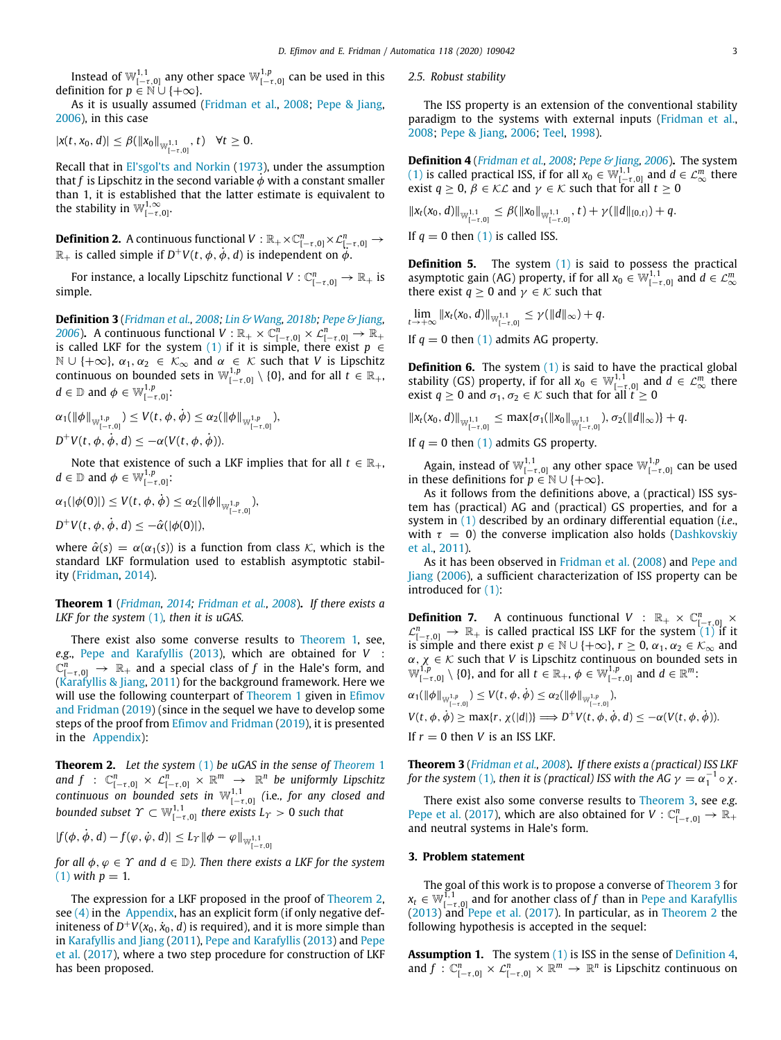Instead of  $\mathbb{W}_{[-\tau,0]}^{1,1}$  any other space  $\mathbb{W}_{[-\tau,0]}^{1,p}$  can be used in this definition for  $p \in \mathbb{N} \cup \{+\infty\}$ .

As it is usually assumed [\(Fridman et al.](#page-6-6), [2008;](#page-6-6) [Pepe & Jiang,](#page-7-13) [2006\)](#page-7-13), in this case

$$
|x(t,x_0,d)| \leq \beta(||x_0||_{\mathbb{W}^{1,1}_{[-\tau,0]}},t) \quad \forall t \geq 0.
$$

Recall that in [El'sgol'ts and Norkin](#page-6-7) [\(1973\)](#page-6-7), under the assumption that *f* is Lipschitz in the second variable  $\dot{\phi}$  with a constant smaller than 1, it is established that the latter estimate is equivalent to the stability in  $\mathbb{W}_{[-\tau,0]}^{1,\infty}$ .

**Definition 2.** A continuous functional  $V : \mathbb{R}_+ \times \mathbb{C}^n_{[-\tau,0]} \times \mathcal{L}^n_{[-\tau,0]} \to$  $\mathbb{R}_+$  is called simple if  $D^+V(t, \phi, \dot{\phi}, d)$  is independent on  $\ddot{\phi}$ .

For instance, a locally Lipschitz functional  $V: \mathbb{C}^n_{[-\tau,0]} \to \mathbb{R}_+$  is simple.

**Definition 3** (*[Fridman et al.](#page-6-6), [2008](#page-6-6); [Lin & Wang,](#page-7-8) [2018b;](#page-7-8) [Pepe & Jiang,](#page-7-13) [2006](#page-7-13)*). A continuous functional  $V : \mathbb{R}_+ \times \mathbb{C}^n_{[-\tau,0]} \times \mathcal{L}^n_{[-\tau,0]} \to \mathbb{R}_+$ is called LKF for the system ([1\)](#page-1-2) if it is simple, there exist  $p \in$  $\mathbb{N} \cup \{+\infty\}, \alpha_1, \alpha_2 \in \mathcal{K}_{\infty}$  and  $\alpha \in \mathcal{K}$  such that *V* is Lipschitz continuous on bounded sets in  $\mathbb{W}_{[-\tau,0]}^{1,p}\setminus\{0\}$ , and for all  $t\in\mathbb{R}_+$ ,  $d \in \mathbb{D}$  and  $\phi \in \mathbb{W}^{1,p}_{[-\tau,0]}\mathbb{D}$ 

$$
\alpha_1(\|\phi\|_{\mathbb{W}_{[-\tau,0]}^{1,p}}) \leq V(t,\phi,\dot{\phi}) \leq \alpha_2(\|\phi\|_{\mathbb{W}_{[-\tau,0]}^{1,p}}),
$$
  

$$
D^+V(t,\phi,\dot{\phi},d) \leq -\alpha(V(t,\phi,\dot{\phi})).
$$

Note that existence of such a LKF implies that for all  $t \in \mathbb{R}_+$ ,  $d \in \mathbb{D}$  and  $\phi \in \mathbb{W}^{1,p}_{[-\tau,0]}\mathbb{D}$ 

$$
\alpha_1(|\phi(0)|) \le V(t, \phi, \dot{\phi}) \le \alpha_2(||\phi||_{\mathbb{W}^{1,p}_{[-\tau,0]}}),
$$
  

$$
D^+V(t, \phi, \dot{\phi}, d) \le -\hat{\alpha}(|\phi(0)|),
$$

where  $\hat{\alpha}(s) = \alpha(\alpha_1(s))$  is a function from class K, which is the standard LKF formulation used to establish asymptotic stability [\(Fridman,](#page-6-0) [2014](#page-6-0)).

<span id="page-2-1"></span>**Theorem 1** (*[Fridman,](#page-6-0) [2014;](#page-6-0) [Fridman et al.,](#page-6-6) [2008](#page-6-6)*)**.** *If there exists a LKF for the system* ([1](#page-1-2))*, then it is uGAS.*

There exist also some converse results to [Theorem](#page-2-1) [1,](#page-2-1) see, *e.g*., [Pepe and Karafyllis](#page-7-10) ([2013\)](#page-7-10), which are obtained for *V* :  $\mathbb{C}^n_{[-\tau,0]}\ \rightarrow\ \mathbb{R}_+$  and a special class of *f* in the Hale's form, and ([Karafyllis & Jiang,](#page-6-4) [2011](#page-6-4)) for the background framework. Here we will use the following counterpart of [Theorem](#page-2-1) [1](#page-2-1) given in [Efimov](#page-6-5) [and Fridman](#page-6-5) [\(2019](#page-6-5)) (since in the sequel we have to develop some steps of the proof from [Efimov and Fridman](#page-6-5) [\(2019\)](#page-6-5), it is presented in the [Appendix\)](#page-5-0):

<span id="page-2-2"></span>**Theorem 2.** *Let the system* ([1\)](#page-1-2) *be uGAS in the sense of [Theorem](#page-2-1)* [1](#page-2-1)  $and \ f \ : \ \mathbb{C}^n_{[-\tau,0]}\times \mathcal{L}^n_{[-\tau,0]}\times \mathbb{R}^m \ \to \ \mathbb{R}^n$  *be uniformly Lipschitz*  $\mathit{continuous}$  on bounded sets in  $\mathbb{W}_{[-\tau,0]}^{1,1}$  (i.e., for any closed and bounded subset  $\varUpsilon\subset \mathbb{W}_{[-\tau,0]}^{1,1}$  there exists  $L_{\varUpsilon}>0$  such that

 $|f(\phi, \dot{\phi}, d) - f(\phi, \dot{\phi}, d)| \leq L_T ||\phi - \phi||_{\mathbb{W}_{[-\tau, 0]}^{1,1}}$ 

*for all*  $\phi$ ,  $\phi \in \Upsilon$  *and*  $d \in \mathbb{D}$ *). Then there exists a LKF for the system*  $(1)$  $(1)$  $(1)$  *with*  $p = 1$ .

The expression for a LKF proposed in the proof of [Theorem](#page-2-2) [2,](#page-2-2) see  $(4)$  in the [Appendix,](#page-5-0) has an explicit form (if only negative definiteness of  $D^+V(x_0, \dot{x}_0, d)$  is required), and it is more simple than in [Karafyllis and Jiang](#page-6-4) [\(2011\)](#page-6-4), [Pepe and Karafyllis](#page-7-10) ([2013\)](#page-7-10) and [Pepe](#page-7-11) [et al.](#page-7-11) ([2017](#page-7-11)), where a two step procedure for construction of LKF has been proposed.

*2.5. Robust stability*

The ISS property is an extension of the conventional stability paradigm to the systems with external inputs [\(Fridman et al.,](#page-6-6) [2008;](#page-6-6) [Pepe & Jiang,](#page-7-13) [2006;](#page-7-13) [Teel](#page-7-14), [1998](#page-7-14)).

<span id="page-2-4"></span>**Definition 4** (*[Fridman et al.,](#page-6-6) [2008](#page-6-6); [Pepe & Jiang,](#page-7-13) [2006](#page-7-13)*)**.** The system ([1](#page-1-2)) is called practical ISS, if for all  $x_0 \in \mathbb{W}_{[-\tau,0]}^{1,1}$  and  $d \in \mathcal{L}_{\infty}^m$  there exist *q*  $\geq$  0,  $\beta \in \mathcal{KL}$  and  $\gamma \in \mathcal{K}$  such that for all *t*  $\geq$  0

$$
||x_t(x_0, d)||_{\mathbb{W}_{[-\tau, 0]}^{1,1}} \leq \beta(||x_0||_{\mathbb{W}_{[-\tau, 0]}^{1,1}}, t) + \gamma(||d||_{[0, t)}) + q.
$$
  
If  $q = 0$  then (1) is called ISS.

<span id="page-2-6"></span>**Definition 5.** The system [\(1](#page-1-2)) is said to possess the practical asymptotic gain (AG) property, if for all  $x_0 \in \mathbb{W}_{[-\tau,0]}^{1,1}$  and  $d \in \mathcal{L}_{\infty}^m$ there exist *q*  $\geq$  0 and *γ*  $\in$  *K* such that

$$
\lim_{t\to+\infty}||x_t(x_0,d)||_{\mathbb{W}_{[-\tau,0]}^{1,1}}\leq \gamma(||d||_{\infty})+q.
$$

If  $q = 0$  then [\(1](#page-1-2)) admits AG property.

**Definition 6.** The system [\(1\)](#page-1-2) is said to have the practical global stability (GS) property, if for all  $x_0 \in \mathbb{W}_{[-\tau,0]}^{1,1}$  and  $d \in \mathcal{L}_{\infty}^m$  there exist *q*  $\geq$  0 and  $\sigma_1, \sigma_2 \in \mathcal{K}$  such that for all  $t \geq 0$ 

$$
||x_t(x_0, d)||_{\mathbb{W}_{[-\tau, 0]}^{1,1}} \leq \max{\{\sigma_1(\|x_0\|_{\mathbb{W}_{[-\tau, 0]}^{1,1}}), \sigma_2(\|d\|_{\infty})\}} + q.
$$

If  $q = 0$  then [\(1](#page-1-2)) admits GS property.

Again, instead of  $\mathbb{W}_{[-\tau,0]}^{1,1}$  any other space  $\mathbb{W}_{[-\tau,0]}^{1,p}$  can be used in these definitions for  $p \in \mathbb{N} \cup \{+\infty\}$ .

As it follows from the definitions above, a (practical) ISS system has (practical) AG and (practical) GS properties, and for a system in ([1\)](#page-1-2) described by an ordinary differential equation (*i.e*., with  $\tau = 0$ ) the converse implication also holds [\(Dashkovskiy](#page-6-2) [et al.](#page-6-2), [2011](#page-6-2)).

As it has been observed in [Fridman et al.](#page-6-6) ([2008](#page-6-6)) and [Pepe and](#page-7-13) [Jiang](#page-7-13) ([2006\)](#page-7-13), a sufficient characterization of ISS property can be introduced for ([1\)](#page-1-2):

**Definition 7.** A continuous functional *V* : ℝ<sub>+</sub> × ℂ[-τ, 0] ×  $\mathcal{L}_{[-\tau,0]}^n$  → ℝ<sub>+</sub> is called practical ISS LKF for the system [\(1\)](#page-1-2) if it is simple and there exist  $p \in \mathbb{N} \cup \{+\infty\}$ ,  $r \geq 0$ ,  $\alpha_1, \alpha_2 \in \mathcal{K}_{\infty}$  and  $\alpha$ ,  $\chi \in \mathcal{K}$  such that *V* is Lipschitz continuous on bounded sets in  $\mathbb{W}_{[-\tau,0]}^{1,p} \setminus \{0\}$ , and for all  $t \in \mathbb{R}_+$ ,  $\phi \in \mathbb{W}_{[-\tau,0]}^{1,p}$  and  $d \in \mathbb{R}^m$ :

$$
\alpha_1(||\phi||_{\mathbb{W}_{[-\tau,0]}^{1,p}}) \le V(t,\phi,\dot{\phi}) \le \alpha_2(||\phi||_{\mathbb{W}_{[-\tau,0]}^{1,p}}),
$$
  
 
$$
V(t,\phi,\dot{\phi}) \ge \max\{r,\chi(|d|)\} \Longrightarrow D^+V(t,\phi,\dot{\phi},d) \le -\alpha(V(t,\phi,\dot{\phi})).
$$
  
If  $r = 0$  then V is an ISS LKF.

<span id="page-2-3"></span>**Theorem 3** (*[Fridman et al.](#page-6-6), [2008](#page-6-6)*)**.** *If there exists a (practical) ISS LKF for the system* ([1](#page-1-2)), *then it is (practical) ISS with the AG*  $\gamma = \alpha_1^{-1} \circ \chi$ .

There exist also some converse results to [Theorem](#page-2-3) [3](#page-2-3), see *e.g*. [Pepe et al.](#page-7-11) ([2017\)](#page-7-11), which are also obtained for  $V: \mathbb{C}^n_{[-\tau,0]} \to \mathbb{R}_+$ and neutral systems in Hale's form.

#### **3. Problem statement**

<span id="page-2-0"></span>The goal of this work is to propose a converse of [Theorem](#page-2-3) [3](#page-2-3) for  $x_t \in \mathbb{W}^{\uparrow,1}_{[-\tau,0]}$  and for another class of *f* than in [Pepe and Karafyllis](#page-7-10) ([2013\)](#page-7-10) and [Pepe et al.](#page-7-11) ([2017\)](#page-7-11). In particular, as in [Theorem](#page-2-2) [2](#page-2-2) the following hypothesis is accepted in the sequel:

<span id="page-2-5"></span>**Assumption 1.** The system ([1\)](#page-1-2) is ISS in the sense of [Definition](#page-2-4) [4,](#page-2-4) and  $f: \mathbb{C}^n_{[-\tau,0]} \times \mathcal{L}^n_{[-\tau,0]} \times \mathbb{R}^m \to \mathbb{R}^n$  is Lipschitz continuous on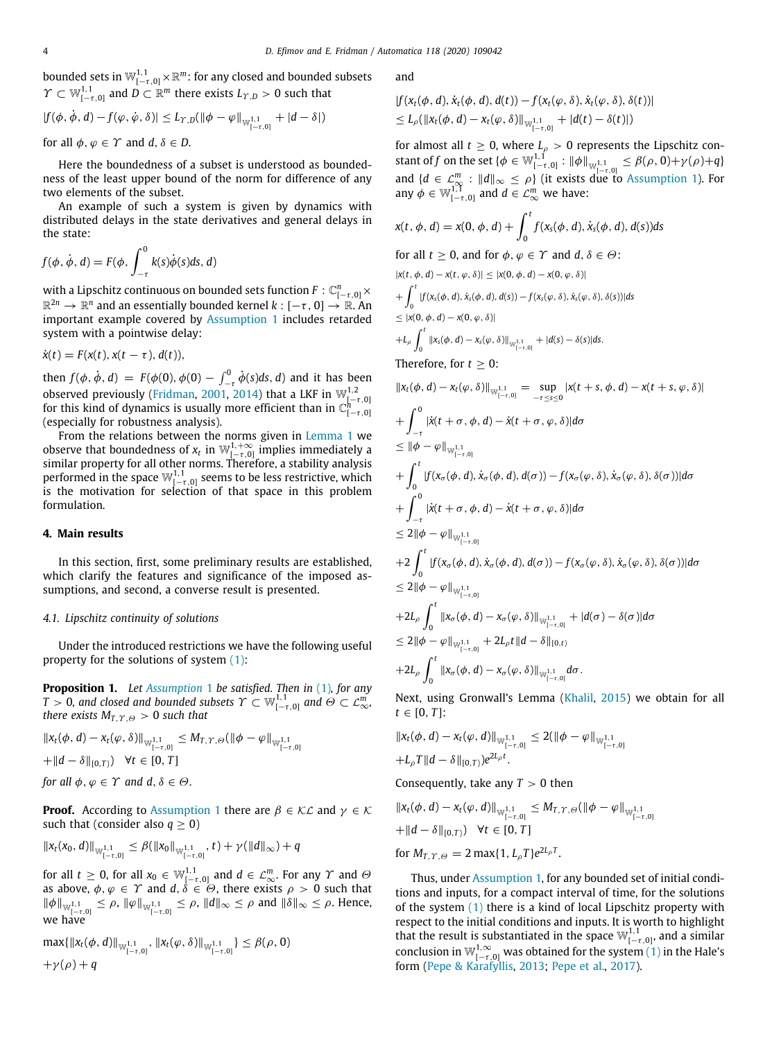bounded sets in  $\mathbb{W}_{[-\tau,0]}^{1,1}\!\times\!\mathbb{R}^m$ : for any closed and bounded subsets  $\Upsilon \subset \mathbb{W}_{[-\tau,0]}^{1,1}$  and  $\overline{D} \subset \mathbb{R}^m$  there exists  $L_{\Upsilon,D} > 0$  such that

$$
|f(\phi, \dot{\phi}, d) - f(\varphi, \dot{\varphi}, \delta)| \leq L_{\Upsilon, D}(\|\phi - \varphi\|_{\mathbb{W}_{[-\tau, 0]}^{1, 1}} + |d - \delta|)
$$

for all  $\phi$ ,  $\phi \in \Upsilon$  and  $d, \delta \in D$ .

Here the boundedness of a subset is understood as boundedness of the least upper bound of the norm for difference of any two elements of the subset.

An example of such a system is given by dynamics with distributed delays in the state derivatives and general delays in the state:

$$
f(\phi, \dot{\phi}, d) = F(\phi, \int_{-\tau}^{0} k(s)\dot{\phi}(s)ds, d)
$$

**with a Lipschitz continuous on bounded sets function**  $F: \mathbb{C}^n_{[-\tau,0]} \times$  $\mathbb{R}^{2n} \to \mathbb{R}^n$  and an essentially bounded kernel  $k: [-\tau,0] \to \mathbb{R}$ . An important example covered by [Assumption](#page-2-5) [1](#page-2-5) includes retarded system with a pointwise delay:

$$
\dot{x}(t) = F(x(t), x(t-\tau), d(t)),
$$

then  $f(\phi, \dot{\phi}, d) = F(\phi(0), \phi(0) - \int_{-\tau}^{0} \dot{\phi}(s) ds, d)$  and it has been observed previously ([Fridman,](#page-6-8) [2001,](#page-6-8) [2014\)](#page-6-0) that a LKF in  $\mathbb{W}_{[-\tau,0]}^{1,2}$  for this kind of dynamics is usually more efficient than in  $\mathbb{C}_{[-\tau,0]}^{h}$ (especially for robustness analysis).

From the relations between the norms given in [Lemma](#page-1-3) [1](#page-1-3) we observe that boundedness of  $x_t$  in  $\mathbb{W}_{[-\tau,0]}^{1,+\infty}$  implies immediately a similar property for all other norms. Therefore, a stability analysis performed in the space  $\mathbb{W}_{[-\tau,0]}^{1,1}$  seems to be less restrictive, which is the motivation for selection of that space in this problem formulation.

#### **4. Main results**

<span id="page-3-0"></span>In this section, first, some preliminary results are established, which clarify the features and significance of the imposed assumptions, and second, a converse result is presented.

#### *4.1. Lipschitz continuity of solutions*

Under the introduced restrictions we have the following useful property for the solutions of system [\(1](#page-1-2)):

**Proposition 1.** *Let [Assumption](#page-2-5)* [1](#page-2-5) *be satisfied. Then in* ([1](#page-1-2))*, for any*  $T > 0$ , and closed and bounded subsets  $\varUpsilon \subset \mathbb{W}_{[-\tau,0]}^{1,1}$  and  $\varTheta \subset \mathcal{L}_{\infty}^m,$ *there exists*  $M_{T,T,\Theta} > 0$  *such that* 

$$
\begin{aligned} &\|x_t(\phi, d) - x_t(\varphi, \delta)\|_{\mathbb{W}_{[-\tau, 0]}^{1,1}} \le M_{T, \Upsilon, \Theta}(\|\phi - \varphi\|_{\mathbb{W}_{[-\tau, 0]}^{1,1}} \\ &+ \|d - \delta\|_{[0, T)}) \quad \forall t \in [0, T] \end{aligned}
$$

*for all*  $\phi, \varphi \in \Upsilon$  *and*  $d, \delta \in \Theta$ *.* 

**Proof.** According to [Assumption](#page-2-5) [1](#page-2-5) there are  $\beta \in \mathcal{KL}$  and  $\gamma \in \mathcal{K}$ such that (consider also  $q \geq 0$ )

$$
||x_t(x_0, d)||_{\mathbb{W}_{[-\tau, 0]}^{1,1}} \leq \beta(||x_0||_{\mathbb{W}_{[-\tau, 0]}^{1,1}}, t) + \gamma(||d||_{\infty}) + q
$$

for all  $t\geq 0$ , for all  $x_0\in\mathbb{W}_{[-\tau,0]}^{1,1}$  and  $d\in\mathcal{L}_{\infty}^m.$  For any  $\varUpsilon$  and  $\varTheta$ as above,  $\phi, \varphi \in \Upsilon$  and  $d, \delta \in \Theta$ , there exists  $\rho > 0$  such that  $\|\phi\|_{\mathbb{W}_{[-\tau,0]}^{1,1}} \leq \rho, \|\varphi\|_{\mathbb{W}_{[-\tau,0]}^{1,1}} \leq \rho, \|d\|_{\infty} \leq \rho \text{ and } \|\delta\|_{\infty} \leq \rho.$  Hence, we have

$$
\max\{\|x_t(\phi, d)\|_{\mathbb{W}_{[-\tau, 0]}^{1,1}}, \|x_t(\varphi, \delta)\|_{\mathbb{W}_{[-\tau, 0]}^{1,1}}\} \leq \beta(\rho, 0)
$$
  
+ $\gamma(\rho) + q$ 

and

$$
|f(x_t(\phi, d), \dot{x}_t(\phi, d), d(t)) - f(x_t(\phi, \delta), \dot{x}_t(\phi, \delta), \delta(t))|
$$
  
\n
$$
\leq L_\rho(||x_t(\phi, d) - x_t(\phi, \delta)||_{\mathbb{W}_{[-\tau, 0]}^{1,1}} + |d(t) - \delta(t)|)
$$

for almost all  $t \geq 0$ , where  $L_p > 0$  represents the Lipschitz constant of *f* on the set  $\{\phi \in \mathbb{W}_{[-\tau,0]}^{1,1} : ||\phi||_{\mathbb{W}_{[-\tau,0]}^{1,1}} \leq \beta(\rho,0)+\gamma(\rho)+q\}$ and  $\{d \in \mathcal{L}_{\infty}^m : ||d||_{\infty} \leq \rho\}$  (it exists due to [Assumption](#page-2-5) [1](#page-2-5)). For any  $\phi \in \mathbb{W}_{[-\tau,0]}^{1,1}$  and  $d \in \mathcal{L}_{\infty}^m$  we have:

$$
x(t, \phi, d) = x(0, \phi, d) + \int_0^t f(x_s(\phi, d), \dot{x}_s(\phi, d), d(s))ds
$$
  
for all  $t \ge 0$ , and for  $\phi, \varphi \in \Upsilon$  and  $d, \delta \in \Theta$ :

$$
|X(t, \phi, d) - X(t, \phi, \delta)| \le |X(0, \phi, d) - X(0, \phi, \delta)|
$$
  
+ 
$$
\int_0^t |f(x_s(\phi, d), \dot{x}_s(\phi, d), d(s)) - f(x_s(\phi, \delta), \dot{x}_s(\phi, \delta), \delta(s))| ds
$$
  

$$
\le |X(0, \phi, d) - X(0, \phi, \delta)|
$$
  
+ 
$$
L_\rho \int_0^t ||x_s(\phi, d) - x_s(\phi, \delta)||_{\mathbb{W}_{[-\tau, 0]}^{1, 1}} + |d(s) - \delta(s)| ds.
$$

Therefore, for  $t > 0$ :

$$
||x_t(\phi, d) - x_t(\varphi, \delta)||_{\mathbb{W}_{[-\tau, 0]}^{1,1}} = \sup_{-\tau \leq s \leq 0} |x(t + s, \phi, d) - x(t + s, \varphi, \delta)|
$$
  
+ 
$$
\int_{-\tau}^{0} |\dot{x}(t + \sigma, \phi, d) - \dot{x}(t + \sigma, \varphi, \delta)| d\sigma
$$
  

$$
\leq ||\phi - \varphi||_{\mathbb{W}_{[-\tau, 0]}^{1,1}}
$$
  
+ 
$$
\int_{0}^{t} |f(x_{\sigma}(\phi, d), \dot{x}_{\sigma}(\phi, d), d(\sigma)) - f(x_{\sigma}(\varphi, \delta), \dot{x}_{\sigma}(\varphi, \delta), \delta(\sigma))| d\sigma
$$
  
+ 
$$
\int_{-\tau}^{0} |\dot{x}(t + \sigma, \phi, d) - \dot{x}(t + \sigma, \varphi, \delta)| d\sigma
$$
  

$$
\leq 2||\phi - \varphi||_{\mathbb{W}_{[-\tau, 0]}^{1,1}}
$$
  
+ 
$$
2 \int_{0}^{t} |f(x_{\sigma}(\phi, d), \dot{x}_{\sigma}(\phi, d), d(\sigma)) - f(x_{\sigma}(\varphi, \delta), \dot{x}_{\sigma}(\varphi, \delta), \delta(\sigma))| d\sigma
$$
  

$$
\leq 2||\phi - \varphi||_{\mathbb{W}_{[-\tau, 0]}^{1,1}}
$$
  
+ 
$$
2L_{\rho} \int_{0}^{t} ||x_{\sigma}(\phi, d) - x_{\sigma}(\varphi, \delta)||_{\mathbb{W}_{[-\tau, 0]}^{1,1}} + |d(\sigma) - \delta(\sigma)| d\sigma
$$
  

$$
\leq 2||\phi - \varphi||_{\mathbb{W}_{[-\tau, 0]}^{1,1}} + 2L_{\rho}t||d - \delta||_{[0, t)}
$$
  
+ 
$$
2L_{\rho} \int_{0}^{t} ||x_{\sigma}(\phi, d) - x_{\sigma}(\varphi, \delta)||_{\mathbb{W}_{[-\tau, 0]}^{1,1}} d\sigma.
$$

<span id="page-3-1"></span>Next, using Gronwall's Lemma ([Khalil,](#page-7-2) [2015\)](#page-7-2) we obtain for all  $t \in [0, T]$ :

$$
\begin{aligned} ||x_t(\phi, d) - x_t(\varphi, d)||_{\mathbb{W}^{1,1}_{[-\tau, 0]}} &\leq 2(||\phi - \varphi||_{\mathbb{W}^{1,1}_{[-\tau, 0]}}) \\ + L_{\rho}T||d - \delta||_{[0,T)}e^{2L_{\rho}t}.\end{aligned}
$$

Consequently, take any  $T > 0$  then

$$
\begin{aligned} &\|x_t(\phi, d) - x_t(\varphi, d)\|_{\mathbb{W}^{1,1}_{[-\tau,0]}} \le M_{T,T,\Theta}(\|\phi - \varphi\|_{\mathbb{W}^{1,1}_{[-\tau,0]}}) \\ &+ \|d - \delta\|_{[0,T)}) \quad \forall t \in [0,T] \\ &\text{for } M_{T,T,\Theta} = 2 \max\{1, L_{\rho}T\} e^{2L_{\rho}T}. \end{aligned}
$$

Thus, under [Assumption](#page-2-5) [1](#page-2-5), for any bounded set of initial conditions and inputs, for a compact interval of time, for the solutions of the system [\(1](#page-1-2)) there is a kind of local Lipschitz property with respect to the initial conditions and inputs. It is worth to highlight that the result is substantiated in the space  $\mathbb{W}^{1,1}_{[-\tau,0]}$ , and a similar conclusion in  $\mathbb{W}_{[-\tau,0]}^{1,\infty}$  was obtained for the system [\(1\)](#page-1-2) in the Hale's form [\(Pepe & Karafyllis,](#page-7-10) [2013](#page-7-10); [Pepe et al.](#page-7-11), [2017](#page-7-11)).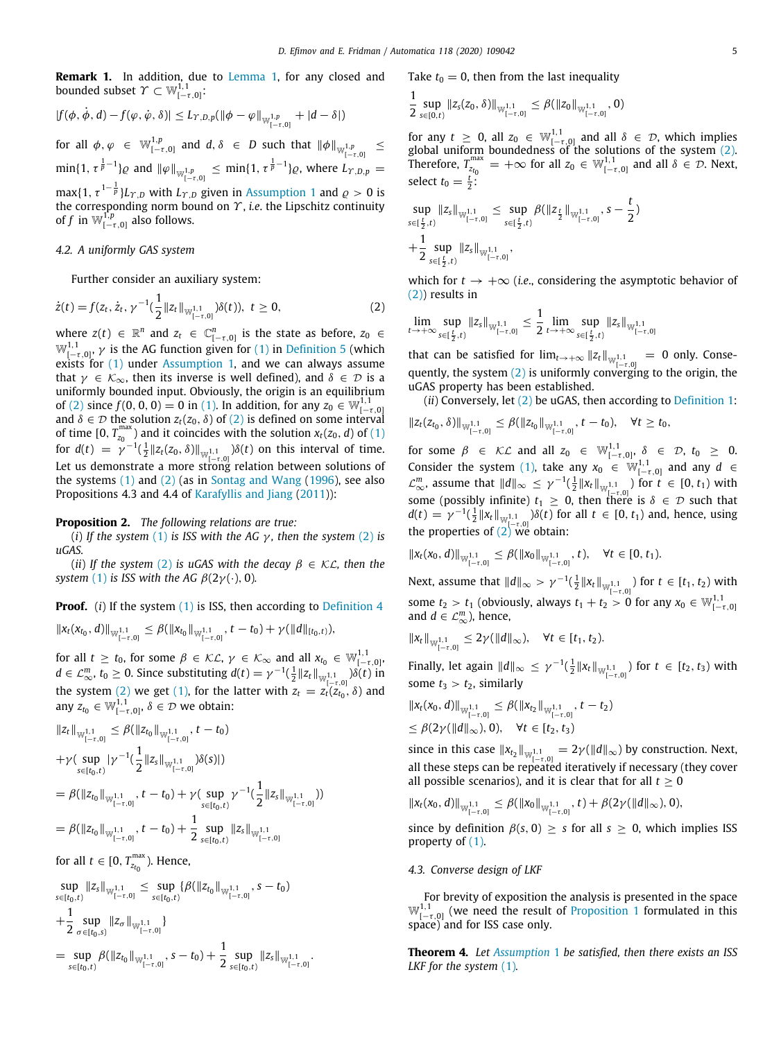**Remark 1.** In addition, due to [Lemma](#page-1-3) [1,](#page-1-3) for any closed and bounded subset  $\varUpsilon\subset\mathbb{W}_{[-\tau,0]}^{1,1}.$ 

$$
|f(\phi, \dot{\phi}, d) - f(\varphi, \dot{\varphi}, \delta)| \leq L_{\Upsilon, D, p}(\|\phi - \varphi\|_{\mathbb{W}_{[-\tau, 0]}^{1, p}} + |d - \delta|)
$$

for all  $\phi, \varphi \in \mathbb{W}_{[-\tau,0]}^{1,p}$  and  $d, \delta \in D$  such that  $\|\phi\|_{\mathbb{W}_{[-\tau,0]}^{1,p}}$ ≤  $\min\{1, \tau^{\frac{1}{p}-1}\}\varrho$  and  $\|\varphi\|_{\mathbb{W}_{[-\tau,0]}^{1,p}} \leq \min\{1, \tau^{\frac{1}{p}-1}\}\varrho$ , where  $L_{\Upsilon, D, p} =$  $\max\{1, \tau^{1-\frac{1}{p}}\}_{L\Upsilon, D}$  $\max\{1, \tau^{1-\frac{1}{p}}\}_{L\Upsilon, D}$  $\max\{1, \tau^{1-\frac{1}{p}}\}_{L\Upsilon, D}$  with  $L_{\Upsilon, D}$  given in [Assumption](#page-2-5) 1 and  $\varrho > 0$  is

the corresponding norm bound on Υ , *i.e*. the Lipschitz continuity of *f* in  $\mathbb{W}_{[-\tau,0]}^{1,p}$  also follows.

# *4.2. A uniformly GAS system*

Further consider an auxiliary system:

$$
\dot{z}(t) = f(z_t, \dot{z}_t, \gamma^{-1}(\frac{1}{2}||z_t||_{\mathbb{W}_{[-\tau,0]}^{1,1}})\delta(t)), \ t \geq 0,
$$
 (2)

where  $z(t) \in \mathbb{R}^n$  and  $z_t \in \mathbb{C}_{[-\tau,0]}^n$  is the state as before,  $z_0 \in$  $\mathbb{W}_{[-\tau,0]}^{1,1}$ ,  $\gamma$  is the AG function given for [\(1](#page-1-2)) in [Definition](#page-2-6) [5](#page-2-6) (which exists for ([1\)](#page-1-2) under [Assumption](#page-2-5) [1](#page-2-5), and we can always assume that  $\gamma \in \mathcal{K}_{\infty}$ , then its inverse is well defined), and  $\delta \in \mathcal{D}$  is a uniformly bounded input. Obviously, the origin is an equilibrium of ([2\)](#page-4-0) since  $f(0, 0, 0) = 0$  in ([1\)](#page-1-2). In addition, for any  $z_0 \in W^{1,1}_{[-\tau,0]}$ and  $\delta \in \mathcal{D}$  the solution  $z_t(z_0, \delta)$  of [\(2\)](#page-4-0) is defined on some interval of time  $[0, T_{z_0}^{\max})$  and it coincides with the solution  $x_t(z_0, d)$  of  $(1)$  $(1)$ for *d*(*t*) =  $\gamma^{-1}(\frac{1}{2}||z_t(z_0,δ)||_{W_{[-\tau,0]}^{1,1}})δ(t)$  on this interval of time. Let us demonstrate a more strong relation between solutions of the systems  $(1)$  $(1)$  and  $(2)$  $(2)$  (as in [Sontag and Wang](#page-7-15)  $(1996)$  $(1996)$  $(1996)$ , see also Propositions 4.3 and 4.4 of [Karafyllis and Jiang](#page-6-4) [\(2011](#page-6-4))):

### **Proposition 2.** *The following relations are true:*

(*i*) *If the system* ([1\)](#page-1-2) *is ISS with the AG*  $\gamma$ *, then the system* ([2\)](#page-4-0) *is uGAS.*

(*ii*) If the system [\(2](#page-4-0)) is uGAS with the decay  $\beta \in \mathcal{KL}$ , then the *system* ([1](#page-1-2)) *is ISS with the AG*  $\beta(2\gamma(\cdot), 0)$ *.* 

**Proof.** (*i*) If the system ([1\)](#page-1-2) is ISS, then according to [Definition](#page-2-4) [4](#page-2-4)

$$
\|x_t(x_{t_0}, d)\|_{\mathbb{W}_{[-\tau,0]}^{1,1}} \leq \beta(\|x_{t_0}\|_{\mathbb{W}_{[-\tau,0]}^{1,1}}, t-t_0) + \gamma(\|d\|_{[t_0,t)}),
$$

for all  $t \ge t_0$ , for some  $\beta \in \mathcal{KL}$ ,  $\gamma \in \mathcal{K}_{\infty}$  and all  $x_{t_0} \in \mathbb{W}_{[-\tau,0]}^{1,1}$ , *d* ∈  $\mathcal{L}_{\infty}^m$ , *t*<sub>0</sub> ≥ 0. Since substituting *d*(*t*) =  $\gamma^{-1}(\frac{1}{2}||z_t||_{\mathbb{W}_{[\tau^{-1},0]}^{1,1}})\delta(t)$  in the system ([2](#page-4-0)) we get [\(1](#page-1-2)), for the latter with  $z_t = z_t(z_t, \delta)$  and any  $z_{t_0} \in \mathbb{W}_{[-\tau,0]}^{1,1}, \delta \in \mathcal{D}$  we obtain:

$$
||z_t||_{\mathbb{W}_{[-\tau,0]}^{1,1}} \leq \beta(||z_{t_0}||_{\mathbb{W}_{[-\tau,0]}^{1,1}}, t - t_0)
$$
  
+ $\gamma (\sup_{s \in [t_0,t)} |\gamma^{-1}(\frac{1}{2}||z_s||_{\mathbb{W}_{[-\tau,0]}^{1,1}})\delta(s)|)$   
=  $\beta (||z_{t_0}||_{\mathbb{W}_{[-\tau,0]}^{1,1}}, t - t_0) + \gamma (\sup_{s \in [t_0,t)} \gamma^{-1}(\frac{1}{2}||z_s||_{\mathbb{W}_{[-\tau,0]}^{1,1}}))$   
=  $\beta (||z_{t_0}||_{\mathbb{W}_{[-\tau,0]}^{1,1}}, t - t_0) + \frac{1}{2} \sup_{s \in [t_0,t)} ||z_s||_{\mathbb{W}_{[-\tau,0]}^{1,1}}$ 

for all  $t \in [0, T_{z_{t_0}}^{\max})$ . Hence,

$$
\sup_{s\in[t_0,t)}\|z_s\|_{\mathbb{W}_{[-\tau,0]}^{1,1}} \leq \sup_{s\in[t_0,t)} \{\beta(\|z_{t_0}\|_{\mathbb{W}_{[-\tau,0]}^{1,1}}, s-t_0) \n+\frac{1}{2} \sup_{\sigma \in [t_0,s)}\|z_{\sigma}\|_{\mathbb{W}_{[-\tau,0]}^{1,1}} \}\n= \sup_{s\in[t_0,t)} \beta(\|z_{t_0}\|_{\mathbb{W}_{[-\tau,0]}^{1,1}}, s-t_0) + \frac{1}{2} \sup_{s\in[t_0,t)}\|z_s\|_{\mathbb{W}_{[-\tau,0]}^{1,1}}.
$$

Take  $t_0 = 0$ , then from the last inequality

$$
\frac{1}{2}\sup_{s\in[0,t)}\|z_{s}(z_{0},\delta)\|_{\mathbb{W}_{[-\tau,0]}^{1,1}}\leq \beta(\|z_{0}\|_{\mathbb{W}_{[-\tau,0]}^{1,1}},0)
$$

for any  $t \geq 0$ , all  $z_0 \in \mathbb{W}_{[-\tau,0]}^{1,1}$  and all  $\delta \in \mathcal{D}$ , which implies global uniform boundedness of the solutions of the system ([2\)](#page-4-0). Therefore,  $T_{z_{t_0}}^{\max} = +\infty$  for all  $z_0 \in \mathbb{W}_{[-\tau,0]}^{1,1}$  and all  $\delta \in \mathcal{D}$ . Next, select  $t_0 = \frac{t}{2}$ .

$$
\sup_{s\in[\frac{t}{2},t)}\|z_s\|_{\mathbb{W}_{[-\tau,0]}^{1,1}} \leq \sup_{s\in[\frac{t}{2},t)}\beta(\|z_{\frac{t}{2}}\|_{\mathbb{W}_{[-\tau,0]}^{1,1}},s-\frac{t}{2})
$$
  
+
$$
\frac{1}{2}\sup_{s\in[\frac{t}{2},t)}\|z_s\|_{\mathbb{W}_{[-\tau,0]}^{1,1}},
$$

which for  $t \rightarrow +\infty$  (*i.e.*, considering the asymptotic behavior of ([2](#page-4-0))) results in

<span id="page-4-0"></span>lim sup<br> $t\rightarrow+\infty$ <sub>s⊂</sub>rt  $\sup_{s \in [\frac{t}{2}, t)} \|z_s\|_{\mathbb{W}_{[-\tau, 0]}^{1,1}} \leq \frac{1}{2}$  $\frac{1}{2}$   $\lim_{t\to+\infty}$  sup  $\sup_{s \in [\frac{t}{2}, t)} \|z_s\|_{\mathbb{W}^{1,1}_{[-\tau,0]}}$ 

that can be satisfied for  $\lim_{t\to+\infty} ||z_t||_{\mathbb{W}^{1,1}_{[-\tau,0]}} = 0$  only. Consequently, the system  $(2)$  is uniformly converging to the origin, the uGAS property has been established.

(*ii*) Conversely, let [\(2](#page-4-0)) be uGAS, then according to [Definition](#page-1-4) [1:](#page-1-4)

$$
\|z_t(z_{t_0},\delta)\|_{\mathbb{W}_{[-\tau,0]}^{1,1}} \leq \beta(\|z_{t_0}\|_{\mathbb{W}_{[-\tau,0]}^{1,1}}, t-t_0), \quad \forall t \geq t_0,
$$

for some  $\beta \in \mathcal{KL}$  and all  $z_0 \in \mathbb{W}_{[-\tau,0]}^{1,1}, \delta \in \mathcal{D}, t_0 \geq 0$ . Consider the system ([1\)](#page-1-2), take any  $x_0 \in \mathbb{W}_{[-\tau,0]}^{1,1}$  and any  $d \in$  $\mathcal{L}_{\infty}^{m}$ , assume that  $||d||_{\infty}$  ≤ γ<sup>-1</sup>( $\frac{1}{2}||x_t||_{\mathbb{W}_{[-\tau,0]}^{1,1}}$ ) for *t* ∈ [0, *t*<sub>1</sub>) with some (possibly infinite)  $t_1 \geq 0$ , then there is  $\delta \in \mathcal{D}$  such that  $d(t) = \gamma^{-1}(\frac{1}{2}||x_t||_{\mathbb{W}_{\lfloor -\tau,0\rfloor}^{1,1}})\delta(t)$  for all  $t \in [0, t_1)$  and, hence, using the properties of  $(2)$  $(2)$  we obtain:

<span id="page-4-1"></span>
$$
\|x_t(x_0,d)\|_{\mathbb{W}_{[-\tau,0]}^{1,1}}\leq \beta(\|x_0\|_{\mathbb{W}_{[-\tau,0]}^{1,1}},t),\quad \forall t\in [0,t_1).
$$

Next, assume that  $||d||_{\infty} > \gamma^{-1}(\frac{1}{2}||x_t||_{\mathbb{W}_{[-\tau,0]}^{1,1}})$  for *t* ∈ [*t*<sub>1</sub>, *t*<sub>2</sub>) with some  $t_2 > t_1$  (obviously, always  $t_1 + t_2 > 0$  for any  $x_0 \in \mathbb{W}_{[-\tau,0]}^{1,1}$ and  $d \in \mathcal{L}_{\infty}^m$ ), hence,

$$
||x_t||_{\mathbb{W}_{[-\tau,0]}^{1,1}} \leq 2\gamma(||d||_{\infty}), \quad \forall t \in [t_1,t_2).
$$

Finally, let again  $||d||_{\infty}$  ≤ γ<sup>-1</sup>( $\frac{1}{2}||x_t||_{\mathbb{W}_{[-\tau,0]}^{1,1}}$ ) for *t* ∈ [*t*<sub>2</sub>, *t*<sub>3</sub>) with some  $t_3 > t_2$ , similarly

$$
\|x_t(x_0, d)\|_{\mathbb{W}_{[-\tau, 0]}^{1,1}} \leq \beta(\|x_{t_2}\|_{\mathbb{W}_{[-\tau, 0]}^{1,1}}, t - t_2)
$$
  

$$
\leq \beta(2\gamma(\|d\|_{\infty}), 0), \quad \forall t \in [t_2, t_3)
$$

since in this case  $||x_{t_2}||_{\mathbb{W}_{[-\tau,0]}^{1,1}} = 2\gamma(||d||_{\infty})$  by construction. Next, all these steps can be repeated iteratively if necessary (they cover all possible scenarios), and it is clear that for all  $t \geq 0$ 

$$
\|x_t(x_0,d)\|_{\mathbb{W}_{[-\tau,0]}^{1,1}} \leq \beta(\|x_0\|_{\mathbb{W}_{[-\tau,0]}^{1,1}},t) + \beta(2\gamma(\|d\|_{\infty}),0),
$$

since by definition  $\beta(s, 0) > s$  for all  $s > 0$ , which implies ISS property of ([1\)](#page-1-2).

# *4.3. Converse design of LKF*

For brevity of exposition the analysis is presented in the space  $\mathbb{W}_{[-\tau,0]}^{1,1}$  $\mathbb{W}_{[-\tau,0]}^{1,1}$  $\mathbb{W}_{[-\tau,0]}^{1,1}$  (we need the result of [Proposition](#page-3-1) 1 formulated in this space) and for ISS case only.

**Theorem 4.** *Let [Assumption](#page-2-5)* [1](#page-2-5) *be satisfied, then there exists an ISS LKF for the system* ([1](#page-1-2))*.*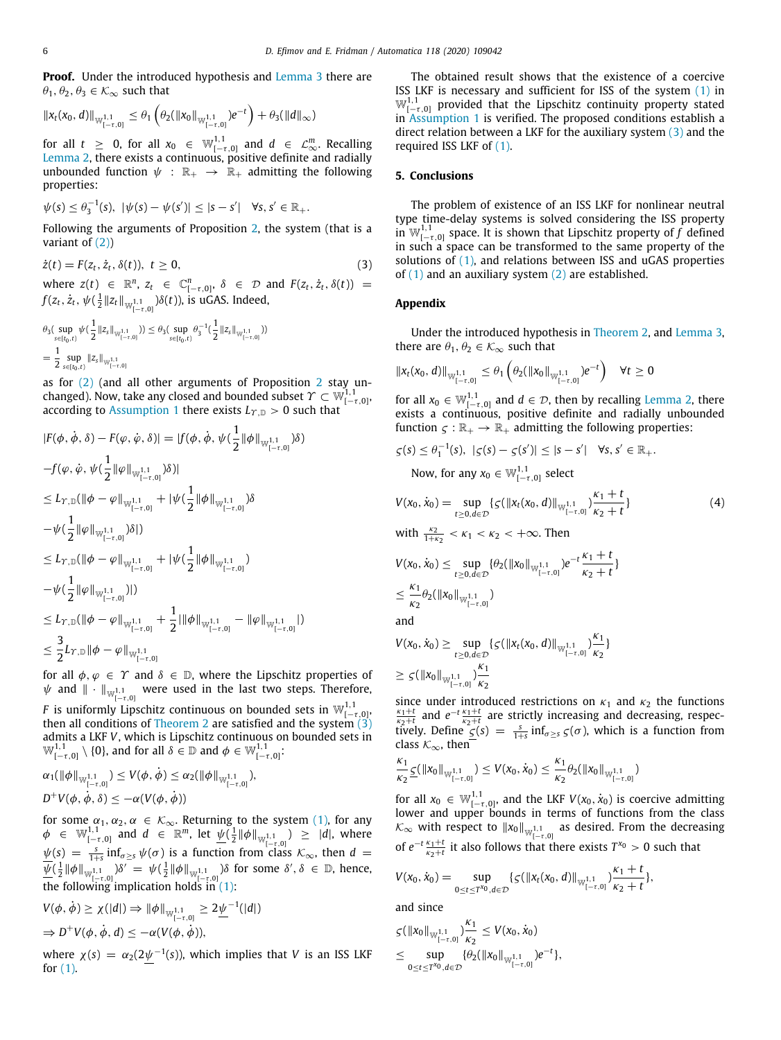**Proof.** Under the introduced hypothesis and [Lemma](#page-1-5) [3](#page-1-5) there are  $\theta_1, \theta_2, \theta_3 \in \mathcal{K}_{\infty}$  such that

$$
\|x_t(x_0,d)\|_{\mathbb{W}_{[-\tau,0]}^{1,1}} \leq \theta_1\left(\theta_2(\|x_0\|_{\mathbb{W}_{[-\tau,0]}^{1,1}})e^{-t}\right) + \theta_3(\|d\|_{\infty})
$$

for all  $t \geq 0$ , for all  $x_0 \in \mathbb{W}_{[-\tau,0]}^{1,1}$  and  $d \in \mathcal{L}_{\infty}^m$ . Recalling [Lemma](#page-1-6) [2](#page-1-6), there exists a continuous, positive definite and radially unbounded function  $\psi : \mathbb{R}_+ \to \mathbb{R}_+$  admitting the following properties:

$$
\psi(s) \leq \theta_3^{-1}(s), \ |\psi(s) - \psi(s')| \leq |s - s'| \quad \forall s, s' \in \mathbb{R}_+.
$$

Following the arguments of Proposition [2,](#page-4-1) the system (that is a variant of ([2\)](#page-4-0))

$$
\dot{z}(t) = F(z_t, \dot{z}_t, \delta(t)), \ t \ge 0,
$$
\n<sup>(3)</sup>

where  $z(t) \in \mathbb{R}^n$ ,  $z_t \in \mathbb{C}^n_{[-\tau,0]}, \delta \in \mathcal{D}$  and  $F(z_t, \dot{z}_t, \delta(t)) =$  $f(z_t, \dot{z}_t, \psi(\frac{1}{2} \| z_t \|_{\mathbb{W}_{[-\tau,0]}^{1,1}}) \delta(t) )$ , is uGAS. Indeed,

$$
\begin{aligned} &\theta_3(\sup_{s\in [t_0,t)} \psi(\frac{1}{2}\|z_s\|_{\mathbb{W}_{[-\tau,0]}^{1,1}})) \leq \theta_3(\sup_{s\in [t_0,t)} \theta_3^{-1}(\frac{1}{2}\|z_s\|_{\mathbb{W}_{[-\tau,0]}^{1,1}}))\\ &= \frac{1}{2}\sup_{s\in [t_0,t)} \|z_s\|_{\mathbb{W}_{[-\tau,0]}^{1,1}}\end{aligned}
$$

as for [\(2](#page-4-0)) (and all other arguments of Proposition [2](#page-4-1) stay unchanged). Now, take any closed and bounded subset  $\varUpsilon\subset\mathbb{W}^{1,1}_{[-\tau,0]},$ according to [Assumption](#page-2-5) [1](#page-2-5) there exists  $L_{\gamma,\mathbb{D}} > 0$  such that

$$
|F(\phi, \dot{\phi}, \delta) - F(\varphi, \dot{\varphi}, \delta)| = |f(\phi, \dot{\phi}, \psi(\frac{1}{2} ||\phi||_{\mathbb{W}_{[-\tau,0]}^{1,1}}) \delta)
$$
  
\n
$$
-f(\varphi, \dot{\varphi}, \psi(\frac{1}{2} ||\varphi||_{\mathbb{W}_{[-\tau,0]}^{1,1}}) \delta)|
$$
  
\n
$$
\leq L_{\Upsilon, \mathbb{D}}(||\phi - \varphi||_{\mathbb{W}_{[-\tau,0]}^{1,1}} + |\psi(\frac{1}{2} ||\phi||_{\mathbb{W}_{[-\tau,0]}^{1,1}}) \delta
$$
  
\n
$$
-\psi(\frac{1}{2} ||\varphi||_{\mathbb{W}_{[-\tau,0]}^{1,1}}) \delta|)
$$
  
\n
$$
\leq L_{\Upsilon, \mathbb{D}}(||\phi - \varphi||_{\mathbb{W}_{[-\tau,0]}^{1,1}} + |\psi(\frac{1}{2} ||\phi||_{\mathbb{W}_{[-\tau,0]}^{1,1}}) - \psi(\frac{1}{2} ||\varphi||_{\mathbb{W}_{[-\tau,0]}^{1,1}}) - \psi(\frac{1}{2} ||\varphi||_{\mathbb{W}_{[-\tau,0]}^{1,1}}) - \psi(\frac{1}{2} ||\varphi||_{\mathbb{W}_{[-\tau,0]}^{1,1}}) - ||\varphi||_{\mathbb{W}_{[-\tau,0]}^{1,1}}) - ||\varphi||_{\mathbb{W}_{[-\tau,0]}^{1,1}}|)
$$
  
\n
$$
\leq \frac{3}{2} L_{\Upsilon, \mathbb{D}} ||\phi - \varphi||_{\mathbb{W}_{[-\tau,0]}^{1,1}}
$$

for all  $\phi, \varphi \in \Upsilon$  and  $\delta \in \mathbb{D}$ , where the Lipschitz properties of  $\psi$  and  $\|\cdot\|_{\mathbb{W}_{[-\tau,0]}^{1,1}}$  were used in the last two steps. Therefore, *F* is uniformly Lipschitz continuous on bounded sets in  $\mathbb{W}_{[-\tau,0]}^{1,1}$ , then all conditions of [Theorem](#page-2-2) [2](#page-2-2) are satisfied and the system  $(3)$  $(3)$ admits a LKF *V*, which is Lipschitz continuous on bounded sets in  $\mathbb{W}_{[-\tau,0]}^{1,1}\setminus\{0\}$ , and for all  $\delta\in\mathbb{D}$  and  $\phi\in\mathbb{W}_{[-\tau,0]}^{1,1}$ :

$$
\alpha_1(\|\phi\|_{\mathbb{W}_{[-\tau,0]}^{1,1}}) \leq V(\phi,\dot{\phi}) \leq \alpha_2(\|\phi\|_{\mathbb{W}_{[-\tau,0]}^{1,1}}),
$$
  

$$
D^+V(\phi,\dot{\phi},\delta) \leq -\alpha(V(\phi,\dot{\phi}))
$$

for some  $\alpha_1, \alpha_2, \alpha \in \mathcal{K}_{\infty}$ . Returning to the system [\(1\)](#page-1-2), for any  $\phi \in \mathbb{W}_{[-\tau,0]}^{1,1}$  and  $d \in \mathbb{R}^m$ , let  $\underline{\psi}(\frac{1}{2} || \phi ||_{\mathbb{W}_{[-\tau,0]}^{1,1}}) \geq ||d|$ , where  $\psi(s) = \frac{s}{1+s} \inf_{\sigma \geq s} \psi(\sigma)$  is a function from class  $\mathcal{K}_{\infty}$ , then  $d =$  $\overline{\psi}(\frac{1}{2}\|\phi\|_{\mathbb{W}_{[-\tau,0]}^{1,1}}) \delta' = \psi(\frac{1}{2}\|\phi\|_{\mathbb{W}_{[-\tau,0]}^{1,1}}) \delta$  for some  $\delta', \delta \in \mathbb{D}$ , hence, the following implication holds in [\(1](#page-1-2)):

$$
V(\phi, \dot{\phi}) \ge \chi(|d|) \Rightarrow \|\phi\|_{\mathbb{W}_{[-\tau,0]}^{1,1}} \ge 2\underline{\psi}^{-1}(|d|)
$$
  

$$
\Rightarrow D^{+}V(\phi, \dot{\phi}, d) \le -\alpha(V(\phi, \dot{\phi})),
$$

where  $\chi(s) = \alpha_2(2\psi^{-1}(s))$ , which implies that *V* is an ISS LKF for [\(1](#page-1-2)).

The obtained result shows that the existence of a coercive ISS LKF is necessary and sufficient for ISS of the system ([1](#page-1-2)) in  $\mathbb{W}_{[-\tau,0]}^{1,1}$  provided that the Lipschitz continuity property stated in [Assumption](#page-2-5) [1](#page-2-5) is verified. The proposed conditions establish a direct relation between a LKF for the auxiliary system [\(3](#page-5-2)) and the required ISS LKF of [\(1\)](#page-1-2).

# **5. Conclusions**

The problem of existence of an ISS LKF for nonlinear neutral type time-delay systems is solved considering the ISS property in  $\mathbb{W}_{[-\tau,0]}^{1,1}$  space. It is shown that Lipschitz property of *f* defined in such a space can be transformed to the same property of the solutions of ([1](#page-1-2)), and relations between ISS and uGAS properties of  $(1)$  $(1)$  and an auxiliary system  $(2)$  $(2)$  are established.

### <span id="page-5-2"></span>**Appendix**

<span id="page-5-0"></span>Under the introduced hypothesis in [Theorem](#page-2-2) [2](#page-2-2), and [Lemma](#page-1-5) [3,](#page-1-5) there are  $\theta_1, \theta_2 \in \mathcal{K}_{\infty}$  such that

$$
\|x_t(x_0, d)\|_{\mathbb{W}_{[-\tau, 0]}^{1,1}} \leq \theta_1 \left(\theta_2(\|x_0\|_{\mathbb{W}_{[-\tau, 0]}^{1,1}})e^{-t}\right) \quad \forall t \geq 0
$$

for all  $x_0 \in \mathbb{W}_{[-\tau,0]}^{1,1}$  and  $d \in \mathcal{D}$ , then by recalling [Lemma](#page-1-6) [2,](#page-1-6) there exists a continuous, positive definite and radially unbounded function  $\zeta : \mathbb{R}_+ \to \mathbb{R}_+$  admitting the following properties:

$$
\zeta(s) \leq \theta_1^{-1}(s), \ |\zeta(s) - \zeta(s')| \leq |s - s'| \quad \forall s, s' \in \mathbb{R}_+.
$$
  
Now, for any  $x_0 \in \mathbb{W}_{[-\tau, 0]}^{1,1}$  select

<span id="page-5-1"></span>
$$
V(x_0, \dot{x}_0) = \sup_{t \ge 0, d \in \mathcal{D}} \{ \varsigma(\|x_t(x_0, d)\|_{\mathbb{W}_{[-\tau, 0]}^{1,1}}) \frac{\kappa_1 + t}{\kappa_2 + t} \}
$$
(4)

with 
$$
\frac{\kappa_2}{1+\kappa_2} < \kappa_1 < \kappa_2 < +\infty
$$
. Then

$$
V(x_0, \dot{x}_0) \leq \sup_{t \geq 0, d \in \mathcal{D}} \{\theta_2(\|x_0\|_{\mathbb{W}_{[-\tau,0]}^{1,1}}) e^{-t} \frac{\kappa_1 + t}{\kappa_2 + t} \}
$$
  
 
$$
\leq \frac{\kappa_1}{\kappa_2} \theta_2(\|x_0\|_{\mathbb{W}_{[-\tau,0]}^{1,1}})
$$
  
and

a

$$
V(x_0, \dot{x}_0) \geq \sup_{t \geq 0, d \in \mathcal{D}} \{ \varsigma(\|x_t(x_0, d)\|_{\mathbb{W}_{[-\tau, 0]}^{1,1}}) \frac{\kappa_1}{\kappa_2} \}
$$
  
 
$$
\geq \varsigma(\|x_0\|_{\mathbb{W}_{[-\tau, 0]}^{1,1}}) \frac{\kappa_1}{\kappa_2}
$$

since under introduced restrictions on  $\kappa_1$  and  $\kappa_2$  the functions  $\frac{k_1+t}{k_2+t}$  and  $e^{-t}\frac{k_1+t}{k_2+t}$  are strictly increasing and decreasing, respectively. Define  $\underline{\zeta}(s) = \frac{s}{1+s} \inf_{\sigma \geq s} \zeta(\sigma)$ , which is a function from class  $\mathcal{K}_{\infty}$ , then

$$
\frac{\kappa_1}{\kappa_2} \underline{\varsigma}(\|x_0\|_{\mathbb{W}_{[-\tau,0]}^{1,1}}) \leq V(x_0,\dot{x}_0) \leq \frac{\kappa_1}{\kappa_2} \theta_2(\|x_0\|_{\mathbb{W}_{[-\tau,0]}^{1,1}})
$$

for all  $x_0 \in \mathbb{W}_{[-\tau,0]}^{1,1}$ , and the LKF  $V(x_0, x_0)$  is coercive admitting lower and upper bounds in terms of functions from the class  $\mathcal{K}_{\infty}$  with respect to  $||x_0||_{\mathbb{W}_{[-\tau,0]}^{1,1}}$  as desired. From the decreasing of  $e^{-t} \frac{\kappa_1+t}{\kappa_2+t}$  it also follows that there exists  $T^{\chi_0} > 0$  such that

$$
V(x_0, \dot{x}_0) = \sup_{0 \leq t \leq T^{x_0}, d \in \mathcal{D}} \{ \mathcal{G}(\|x_t(x_0, d)\|_{\mathbb{W}_{[-\tau, 0]}^{1,1}}) \frac{\kappa_1 + t}{\kappa_2 + t} \},
$$

and since

$$
S(||x_0||_{\mathbb{W}_{[-\tau,0]}^{1,1}}) \frac{\kappa_1}{\kappa_2} \leq V(x_0, \dot{x}_0)
$$
  
\n
$$
\leq \sup_{0 \leq t \leq T^{\chi_0}, d \in \mathcal{D}} {\{\theta_2(\|x_0\|_{\mathbb{W}_{[-\tau,0]}^{1,1}})} e^{-t}\},
$$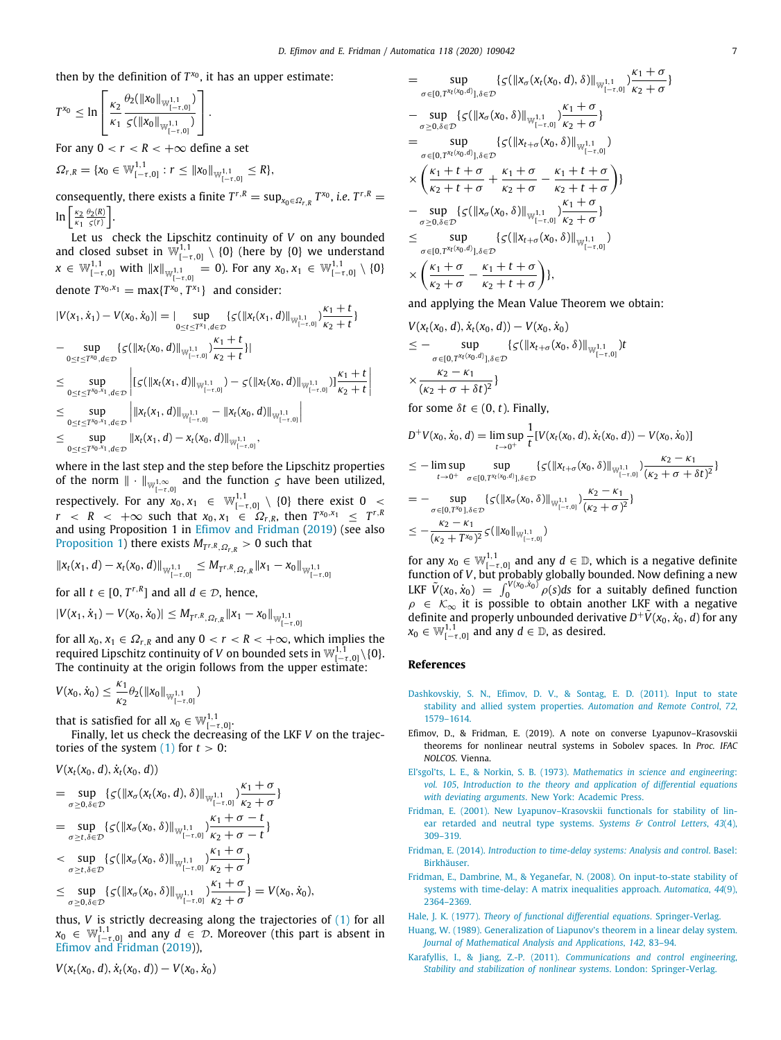then by the definition of  $T^{x_0}$ , it has an upper estimate:

$$
T^{x_0} \leq \ln \left[\frac{\kappa_2}{\kappa_1} \frac{\theta_2(\|x_0\|_{\mathbb{W}_{[-\tau,0]}^{1,1}})}{\varsigma(\|x_0\|_{\mathbb{W}_{[-\tau,0]}^{1,1}})}\right].
$$

For any  $0 < r < R < +\infty$  define a set  $1,1$ 

$$
\Omega_{r,R} = \{x_0 \in \mathbb{W}_{[-\tau,0]}^{1,1} : r \leq ||x_0||_{\mathbb{W}_{[-\tau,0]}^{1,1}} \leq R\},\
$$

consequently, there exists a finite  $T^{r,R} = \sup_{x_0 \in \Omega_{r,R}} T^{x_0}$ , *i.e.*  $T^{r,R} =$  $\ln\left[\frac{\kappa_2}{\kappa_1}\frac{\theta_2(R)}{\varsigma(r)}\right]$ .

Let us check the Lipschitz continuity of *V* on any bounded and closed subset in  $\mathbb{W}_{[-\tau,0]}^{1,1} \setminus \{0\}$  (here by  $\{0\}$  we understand  $x \in \mathbb{W}_{[-\tau,0]}^{1,1}$  with  $||x||_{\mathbb{W}_{[-\tau,0]}^{1,1}} = 0$ ). For any  $x_0, x_1 \in \mathbb{W}_{[-\tau,0]}^{1,1} \setminus \{0\}$ denote  $T^{x_0, x_1} = \max\{T^{x_0}, T^{x_1}\}\$  and consider:

$$
|V(x_1, \dot{x}_1) - V(x_0, \dot{x}_0)| = |\sup_{0 \le t \le T^{x_1}, d \in \mathcal{D}} \{ \varsigma(\|x_t(x_1, d)\|_{\mathbb{W}_{[-\tau, 0]}^{1,1}}) \frac{\kappa_1 + t}{\kappa_2 + t} \}
$$
  
\n
$$
- \sup_{0 \le t \le T^{x_0}, d \in \mathcal{D}} \{ \varsigma(\|x_t(x_0, d)\|_{\mathbb{W}_{[-\tau, 0]}^{1,1}}) \frac{\kappa_1 + t}{\kappa_2 + t} \}
$$
  
\n
$$
\le \sup_{0 \le t \le T^{x_0, x_1}, d \in \mathcal{D}} \left| \left[ \varsigma(\|x_t(x_1, d)\|_{\mathbb{W}_{[-\tau, 0]}^{1,1}}) - \varsigma(\|x_t(x_0, d)\|_{\mathbb{W}_{[-\tau, 0]}^{1,1}}) \frac{\kappa_1 + t}{\kappa_2 + t} \right| \right|
$$
  
\n
$$
\le \sup_{0 \le t \le T^{x_0, x_1}, d \in \mathcal{D}} \left| \|x_t(x_1, d)\|_{\mathbb{W}_{[-\tau, 0]}^{1,1}} - \|x_t(x_0, d)\|_{\mathbb{W}_{[-\tau, 0]}^{1,1}} \right|
$$
  
\n
$$
\le \sup_{0 \le t \le T^{x_0, x_1}, d \in \mathcal{D}} \|x_t(x_1, d) - x_t(x_0, d)\|_{\mathbb{W}_{[-\tau, 0]}^{1,1}},
$$

where in the last step and the step before the Lipschitz properties of the norm  $\|\cdot\|_{\mathbb{W}_{[-\tau,0]}^{1,\infty}}$  and the function  $\zeta$  have been utilized, respectively. For any  $x_0, x_1 \in \mathbb{W}_{[-\tau,0]}^{1,1} \setminus \{0\}$  there exist  $0 \leq$ *r* < *R* < + $\infty$  such that  $x_0, x_1 \in \Omega_{r,R}$ , then  $T^{x_0, x_1} \leq T^{r,R}$ and using Proposition 1 in [Efimov and Fridman](#page-6-5) [\(2019\)](#page-6-5) (see also [Proposition](#page-3-1) [1\)](#page-3-1) there exists  $M_{T^{r,R},\Omega_{r,R}}>0$  such that

$$
\|x_t(x_1, d) - x_t(x_0, d)\|_{\mathbb{W}_{[-\tau, 0]}^{1, 1}} \leq M_{T^{r,R}, \Omega_{r,R}} \|x_1 - x_0\|_{\mathbb{W}_{[-\tau, 0]}^{1, 1}}
$$

for all  $t \in [0, T^{r,R}]$  and all  $d \in \mathcal{D}$ , hence,

$$
|V(x_1, \dot{x}_1) - V(x_0, \dot{x}_0)| \leq M_{T^{r,R}, \Omega_{r,R}} \|x_1 - x_0\|_{\mathbb{W}_{[-\tau,0]}^{1,1}}
$$

for all  $x_0, x_1 \in \Omega_{r,R}$  and any  $0 < r < R < +\infty$ , which implies the required Lipschitz continuity of *V* on bounded sets in  $\mathbb{W}_{[-\tau,0]}^{1,1}\backslash\{0\}.$ The continuity at the origin follows from the upper estimate:

$$
V(x_0, \dot{x}_0) \leq \frac{\kappa_1}{\kappa_2} \theta_2(\|x_0\|_{\mathbb{W}_{[-\tau,0]}^{1,1}})
$$

that is satisfied for all  $x_0 \in \mathbb{W}^{1,1}_{[-\tau,0]}.$ 

Finally, let us check the decreasing of the LKF *V* on the trajectories of the system  $(1)$  $(1)$  for  $t > 0$ :

$$
V(x_t(x_0, d), \dot{x}_t(x_0, d))
$$

$$
= \sup_{\sigma \ge 0, \delta \in \mathcal{D}} \{ \varsigma(\|x_{\sigma}(x_t(x_0, d), \delta)\|_{\mathbb{W}_{[-\tau, 0]}^{1,1}}) \frac{\kappa_1 + \sigma}{\kappa_2 + \sigma} \}
$$
  
= 
$$
\sup_{\sigma \ge t, \delta \in \mathcal{D}} \{ \varsigma(\|x_{\sigma}(x_0, \delta)\|_{\mathbb{W}_{[-\tau, 0]}^{1,1}}) \frac{\kappa_1 + \sigma - t}{\kappa_2 + \sigma - t} \}
$$

$$
\begin{aligned}\n&<\sup_{\sigma\geq t,\delta\in\mathcal{D}}\{\varsigma(\|x_{\sigma}(x_0,\delta)\|_{\mathbb{W}_{[-\tau,0]}^{1,1}})\frac{x_1+\delta}{k_2+\sigma}\} \\
&\leq \sup_{\sigma\geq 0,\delta\in\mathcal{D}}\{\varsigma(\|x_{\sigma}(x_0,\delta)\|_{\mathbb{W}_{[-\tau,0]}^{1,1}})\frac{\kappa_1+\sigma}{k_2+\sigma}\} = V(x_0,\dot{x}_0),\n\end{aligned}
$$

thus, *V* is strictly decreasing along the trajectories of (1) for all 
$$
x_0 \in \mathbb{W}_{[-\tau,0]}^{1,1}
$$
 and any  $d \in \mathcal{D}$ . Moreover (this part is absent in Efimov and Fridman (2019)),

$$
V(x_t(x_0, d), \dot{x}_t(x_0, d)) - V(x_0, \dot{x}_0)
$$

$$
= \sup_{\sigma \in [0,T^{x_t(x_0,d)}],\delta \in \mathcal{D}} \{ \zeta(\|x_{\sigma}(x_t(x_0,d),\delta)\|_{\mathbb{W}_{[-\tau,0}^{1,1}}) \frac{\kappa_1 + \sigma}{\kappa_2 + \sigma} \}
$$
  
\n
$$
- \sup_{\sigma \geq 0,\delta \in \mathcal{D}} \{ \zeta(\|x_{\sigma}(x_0,\delta)\|_{\mathbb{W}_{[-\tau,0}^{1,1}}) \frac{\kappa_1 + \sigma}{\kappa_2 + \sigma} \}
$$
  
\n
$$
= \sup_{\sigma \in [0,T^{x_t(x_0,d)}],\delta \in \mathcal{D}} \{ \zeta(\|x_{t+\sigma}(x_0,\delta)\|_{\mathbb{W}_{[-\tau,0}^{1,1}}) \}
$$
  
\n
$$
\times \left( \frac{\kappa_1 + t + \sigma}{\kappa_2 + t + \sigma} + \frac{\kappa_1 + \sigma}{\kappa_2 + \sigma} - \frac{\kappa_1 + t + \sigma}{\kappa_2 + t + \sigma} \right) \}
$$
  
\n
$$
- \sup_{\sigma \geq 0,\delta \in \mathcal{D}} \{ \zeta(\|x_{\sigma}(x_0,\delta)\|_{\mathbb{W}_{[-\tau,0}^{1,1}}) \frac{\kappa_1 + \sigma}{\kappa_2 + \sigma} \}
$$
  
\n
$$
\leq \sup_{\sigma \in [0,T^{x_t(x_0,d)}],\delta \in \mathcal{D}} \{ \zeta(\|x_{t+\sigma}(x_0,\delta)\|_{\mathbb{W}_{[-\tau,0}^{1,1}}) \}
$$
  
\n
$$
\times \left( \frac{\kappa_1 + \sigma}{\kappa_2 + \sigma} - \frac{\kappa_1 + t + \sigma}{\kappa_2 + t + \sigma} \right) \},
$$

and applying the Mean Value Theorem we obtain:

$$
V(x_t(x_0, d), \dot{x}_t(x_0, d)) - V(x_0, \dot{x}_0)
$$
  
\n
$$
\leq - \sup_{\sigma \in [0, T^{x_t(x_0, d)}], \delta \in \mathcal{D}} \{ \varsigma (\|x_{t+\sigma}(x_0, \delta)\|_{\mathbb{W}_{[-\tau, 0]}^{1, 1}}) t
$$
  
\n
$$
\times \frac{\kappa_2 - \kappa_1}{(\kappa_2 + \sigma + \delta t)^2} \}
$$
  
\nfor some  $\delta t \in (0, t)$ . Finally.

$$
D^{+}V(x_{0}, \dot{x}_{0}, d) = \limsup_{t \to 0^{+}} \frac{1}{t} [V(x_{t}(x_{0}, d), \dot{x}_{t}(x_{0}, d)) - V(x_{0}, \dot{x}_{0})]
$$
  
\n
$$
\leq - \limsup_{t \to 0^{+}} \sup_{\{g(\|x_{t+\sigma}(x_{0}, \delta)\|_{\mathbb{W}_{t}^{1,1}} > t) \leq \frac{K_{2} - K_{1}}{t} \leq \frac{1}{K_{1} + K_{2} + K_{1}}\}
$$

$$
\leq -\limsup_{t\to 0^+}\sup_{\sigma\in[0,T^{X_t(X_0,d)}],\delta\in\mathcal{D}}\{\varsigma(\|x_{t+\sigma}(x_0,\delta)\|_{W^{1,1}_{[-\tau,0]}})\frac{2}{(\kappa_2+\sigma+\delta t)^2}\}
$$

$$
= - \sup_{\sigma \in [0, T^{x_0}], \delta \in \mathcal{D}} \{ \varsigma(\|x_{\sigma}(x_0, \delta)\|_{\mathbb{W}_{[-\tau, 0]}^{1,1}}) \frac{x_2 - x_1}{(k_2 + \sigma)^2} \}
$$
  

$$
\leq - \frac{k_2 - k_1}{(k_2 + T^{x_0})^2} \varsigma(\|x_0\|_{\mathbb{W}_{[-\tau, 0]}^{1,1}})
$$

for any  $x_0 \in \mathbb{W}_{[-\tau,0]}^{1,1}$  and any  $d \in \mathbb{D}$ , which is a negative definite function of *V*, but probably globally bounded. Now defining a new<br>LKF  $\tilde{V}(x_0, x_0) = \int_0^{V(x_0, x_0)} \rho(s) ds$  for a suitably defined function  $\rho \in \mathcal{K}_{\infty}$  it is possible to obtain another LKF with a negative definite and properly unbounded derivative  $D^+\tilde{V}(x_0, \dot{x}_0, d)$  for any  $x_0 \in \mathbb{W}_{[-\tau,0]}^{1,1}$  and any  $d \in \mathbb{D}$ , as desired.

#### **References**

- <span id="page-6-2"></span>[Dashkovskiy, S. N., Efimov, D. V., & Sontag, E. D. \(2011\). Input to state](http://refhub.elsevier.com/S0005-1098(20)30240-5/sb1) [stability and allied system properties.](http://refhub.elsevier.com/S0005-1098(20)30240-5/sb1) *Automation and Remote Control*, *72*, [1579–1614.](http://refhub.elsevier.com/S0005-1098(20)30240-5/sb1)
- <span id="page-6-5"></span>Efimov, D., & Fridman, E. (2019). A note on converse Lyapunov–Krasovskii theorems for nonlinear neutral systems in Sobolev spaces. In *Proc. IFAC NOLCOS*. Vienna.
- <span id="page-6-7"></span>El'sgol'ts, L. E., & Norkin, S. B. (1973). *[Mathematics in science and engineering](http://refhub.elsevier.com/S0005-1098(20)30240-5/sb3)*: *vol. 105*, *[Introduction to the theory and application of differential equations](http://refhub.elsevier.com/S0005-1098(20)30240-5/sb3) with deviating arguments*[. New York: Academic Press.](http://refhub.elsevier.com/S0005-1098(20)30240-5/sb3)
- <span id="page-6-8"></span>[Fridman, E. \(2001\). New Lyapunov–Krasovskii functionals for stability of lin](http://refhub.elsevier.com/S0005-1098(20)30240-5/sb4)[ear retarded and neutral type systems.](http://refhub.elsevier.com/S0005-1098(20)30240-5/sb4) *Systems & Control Letters*, *43*(4), [309–319.](http://refhub.elsevier.com/S0005-1098(20)30240-5/sb4)
- <span id="page-6-0"></span>Fridman, E. (2014). *[Introduction to time-delay systems: Analysis and control](http://refhub.elsevier.com/S0005-1098(20)30240-5/sb5)*. Basel: [Birkhäuser.](http://refhub.elsevier.com/S0005-1098(20)30240-5/sb5)
- <span id="page-6-6"></span>[Fridman, E., Dambrine, M., & Yeganefar, N. \(2008\). On input-to-state stability of](http://refhub.elsevier.com/S0005-1098(20)30240-5/sb6) [systems with time-delay: A matrix inequalities approach.](http://refhub.elsevier.com/S0005-1098(20)30240-5/sb6) *Automatica*, *44*(9), [2364–2369.](http://refhub.elsevier.com/S0005-1098(20)30240-5/sb6)
- <span id="page-6-1"></span>Hale, J. K. (1977). *[Theory of functional differential equations](http://refhub.elsevier.com/S0005-1098(20)30240-5/sb7)*. Springer-Verlag.
- <span id="page-6-3"></span>[Huang, W. \(1989\). Generalization of Liapunov's theorem in a linear delay system.](http://refhub.elsevier.com/S0005-1098(20)30240-5/sb8) *[Journal of Mathematical Analysis and Applications](http://refhub.elsevier.com/S0005-1098(20)30240-5/sb8)*, *142*, 83–94.
- <span id="page-6-4"></span>Karafyllis, I., & Jiang, Z.-P. (2011). *[Communications and control engineering](http://refhub.elsevier.com/S0005-1098(20)30240-5/sb9)*, *[Stability and stabilization of nonlinear systems](http://refhub.elsevier.com/S0005-1098(20)30240-5/sb9)*. London: Springer-Verlag.